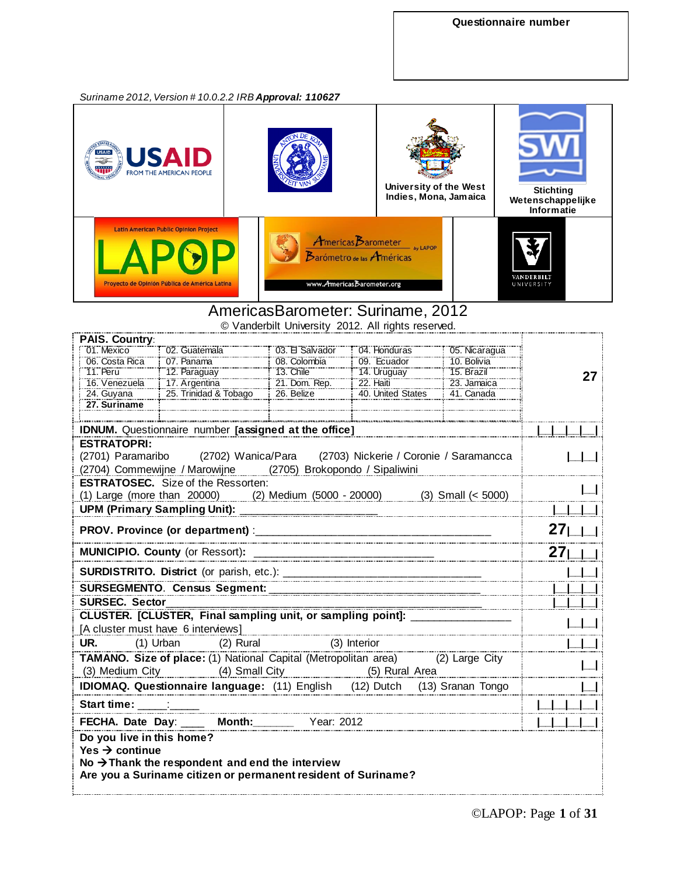*Suriname 2012,Version # 10.0.2.2 IRB Approval: 110627*



### AmericasBarometer: Suriname, 2012

© Vanderbilt University 2012. All rights reserved.

| <b>PAIS. Country:</b>                                                                       |                                                                                                                              |                        |                                        |               |    |
|---------------------------------------------------------------------------------------------|------------------------------------------------------------------------------------------------------------------------------|------------------------|----------------------------------------|---------------|----|
| 01. Mexico                                                                                  | 02. Guatemala                                                                                                                | 03. El Salvador        | 04. Honduras                           | 05. Nicaragua |    |
| 06. Costa Rica                                                                              | 07. Panama                                                                                                                   | 08. Colombia           | 09. Ecuador                            | 10. Bolivia   |    |
| <b>11. Peru</b>                                                                             | 12. Paraguay                                                                                                                 | <b>13. Chile</b>       | 14. Uruguay                            | 15. Brazil    | 27 |
| 16. Venezuela                                                                               | 17. Argentina                                                                                                                | 21. Dom. Rep.          | $22.$ Haiti                            | 23. Jamaica   |    |
| 24. Guyana                                                                                  | 25. Trinidad & Tobago                                                                                                        | 26. Belize             | 40. United States                      | 41. Canada    |    |
| 27. Suriname                                                                                |                                                                                                                              |                        |                                        |               |    |
|                                                                                             |                                                                                                                              |                        |                                        |               |    |
|                                                                                             | <b>IDNUM.</b> Questionnaire number [assigned at the office]                                                                  |                        |                                        |               |    |
| <b>ESTRATOPRI:</b>                                                                          |                                                                                                                              |                        |                                        |               |    |
|                                                                                             | (2701) Paramaribo (2702) Wanica/Para                                                                                         |                        | (2703) Nickerie / Coronie / Saramancca |               |    |
|                                                                                             | (2704) Commewijne / Marowijne (2705) Brokopondo / Sipaliwini                                                                 |                        |                                        |               |    |
|                                                                                             | <b>ESTRATOSEC.</b> Size of the Ressorten:                                                                                    |                        |                                        |               |    |
|                                                                                             | (1) Large (more than 20000) (2) Medium (5000 - 20000) (3) Small (< 5000)                                                     |                        |                                        |               |    |
|                                                                                             |                                                                                                                              |                        |                                        |               |    |
|                                                                                             |                                                                                                                              |                        |                                        |               |    |
| <b>MUNICIPIO. County (or Ressort):</b>                                                      |                                                                                                                              |                        |                                        |               |    |
|                                                                                             |                                                                                                                              |                        |                                        |               |    |
|                                                                                             | SURSEGMENTO. Census Segment: __________________                                                                              |                        |                                        |               |    |
| <b>SURSEC. Sector</b><br><u>CLUSTER.</u> [CLUSTER, Final sampling unit, or sampling point]: |                                                                                                                              |                        |                                        |               |    |
|                                                                                             |                                                                                                                              |                        |                                        |               |    |
|                                                                                             | [A cluster must have 6 interviews]                                                                                           |                        |                                        |               |    |
| UR.                                                                                         | (1) Urban                                                                                                                    | (2) Rural (3) Interior |                                        |               |    |
|                                                                                             | TAMANO. Size of place: (1) National Capital (Metropolitan area) (2) Large City                                               |                        |                                        |               |    |
|                                                                                             |                                                                                                                              |                        |                                        |               |    |
|                                                                                             | (3) Medium City (4) Small City (5) Rural Area                                                                                |                        |                                        |               |    |
|                                                                                             | <b>IDIOMAQ. Questionnaire language:</b> (11) English (12) Dutch (13) Sranan Tongo                                            |                        |                                        |               |    |
| <b>Start time:</b>                                                                          |                                                                                                                              |                        |                                        |               |    |
|                                                                                             | FECHA. Date Day: ____ Month: Year: 2012                                                                                      |                        |                                        |               |    |
| Do you live in this home?<br>Yes $\rightarrow$ continue                                     | No $\rightarrow$ Thank the respondent and end the interview<br>Are you a Suriname citizen or permanent resident of Suriname? |                        |                                        |               |    |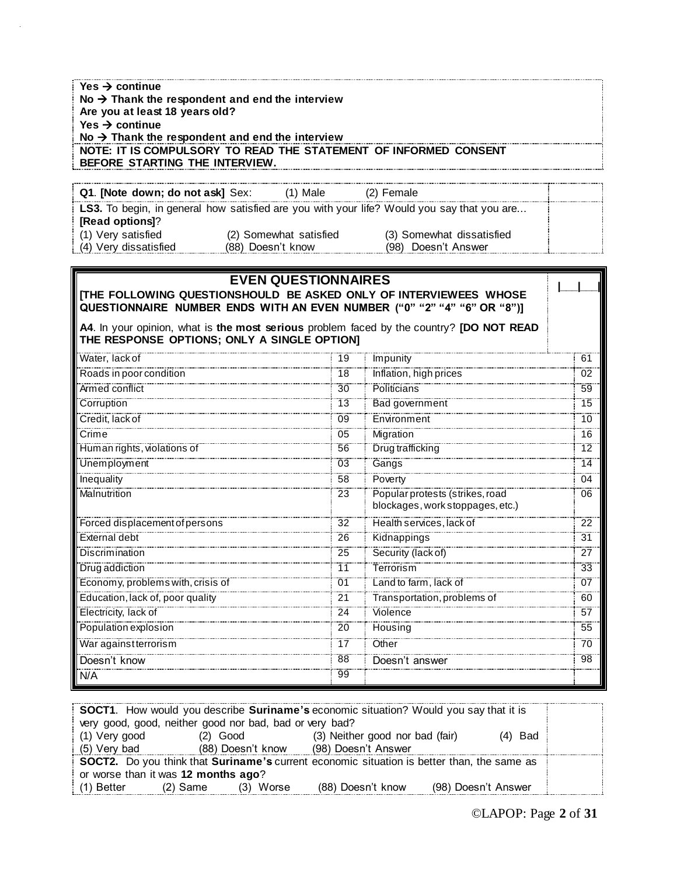| Yes $\rightarrow$ continue<br>No $\rightarrow$ Thank the respondent and end the interview |                            |    |                                                                                            |                 |
|-------------------------------------------------------------------------------------------|----------------------------|----|--------------------------------------------------------------------------------------------|-----------------|
| Are you at least 18 years old?                                                            |                            |    |                                                                                            |                 |
| Yes $\rightarrow$ continue                                                                |                            |    |                                                                                            |                 |
| No $\rightarrow$ Thank the respondent and end the interview                               |                            |    |                                                                                            |                 |
| BEFORE STARTING THE INTERVIEW.                                                            |                            |    | NOTE: IT IS COMPULSORY TO READ THE STATEMENT OF INFORMED CONSENT                           |                 |
|                                                                                           |                            |    |                                                                                            |                 |
| Q1. [Note down; do not ask] Sex:                                                          | $(1)$ Male                 |    | (2) Female                                                                                 |                 |
|                                                                                           |                            |    | LS3. To begin, in general how satisfied are you with your life? Would you say that you are |                 |
| [Read options]?                                                                           |                            |    |                                                                                            |                 |
| (1) Very satisfied                                                                        | (2) Somewhat satisfied     |    | (3) Somewhat dissatisfied                                                                  |                 |
| (4) Very dissatisfied                                                                     | (88) Doesn't know          |    | (98) Doesn't Answer                                                                        |                 |
|                                                                                           |                            |    |                                                                                            |                 |
|                                                                                           | <b>EVEN QUESTIONNAIRES</b> |    |                                                                                            |                 |
|                                                                                           |                            |    | <b>ITHE FOLLOWING QUESTIONSHOULD BE ASKED ONLY OF INTERVIEWEES WHOSE</b>                   |                 |
|                                                                                           |                            |    | QUESTIONNAIRE NUMBER ENDS WITH AN EVEN NUMBER ("0" "2" "4" "6" OR "8")]                    |                 |
|                                                                                           |                            |    | A4. In your opinion, what is the most serious problem faced by the country? [DO NOT READ   |                 |
| THE RESPONSE OPTIONS; ONLY A SINGLE OPTION]                                               |                            |    |                                                                                            |                 |
| Water, lack of                                                                            |                            | 19 | Impunity                                                                                   | 61              |
| Roads in poor condition                                                                   |                            | 18 | Inflation, high prices                                                                     | 02              |
| Armed conflict                                                                            |                            | 30 | <b>Politicians</b>                                                                         | $\overline{59}$ |
| Corruption                                                                                |                            | 13 | Bad government                                                                             | 15              |
| Credit, lack of                                                                           |                            | 09 | Environment                                                                                | 10              |
| Crime                                                                                     |                            | 05 | Migration                                                                                  | 16              |
| Human rights, violations of                                                               |                            | 56 | Drug trafficking                                                                           | $\overline{12}$ |
| Unemployment                                                                              |                            | 03 | Gangs                                                                                      | $\overline{14}$ |
| Inequality                                                                                |                            | 58 | Poverty                                                                                    | 04              |
| Malnutrition                                                                              |                            | 23 | Popular protests (strikes, road                                                            | 06              |
|                                                                                           |                            |    | blockages, work stoppages, etc.)                                                           |                 |
| Forced displacement of persons                                                            |                            | 32 | Health services, lack of                                                                   | 22              |
| External debt                                                                             |                            | 26 | Kidnappings                                                                                | 31              |
| <b>Discrimination</b>                                                                     |                            | 25 | Security (lack of)                                                                         | 27              |
| Drug addiction                                                                            |                            | 11 | Terrorism                                                                                  | $\overline{33}$ |
| Economy, problems with, crisis of                                                         |                            | 01 | Land to farm, lack of                                                                      | 07              |
| Education, lack of, poor quality                                                          |                            | 21 | Transportation, problems of                                                                | 60              |
| Electricity, lack of                                                                      |                            | 24 | Violence                                                                                   | 57              |
| Population explosion                                                                      |                            | 20 | Housing                                                                                    | 55              |
| /Var against terrorism                                                                    |                            | 17 | Other                                                                                      | 70              |
| Doesn′t know                                                                              |                            | 88 | Doesn't<br>answer                                                                          | $\overline{98}$ |
| N/A                                                                                       |                            | 99 |                                                                                            |                 |
|                                                                                           |                            |    |                                                                                            |                 |

| SOCT1. How would you describe Suriname's economic situation? Would you say that it is      |                   |                                 |                     |  |  |
|--------------------------------------------------------------------------------------------|-------------------|---------------------------------|---------------------|--|--|
| very good, good, neither good nor bad, bad or very bad?                                    |                   |                                 |                     |  |  |
| $(1)$ Very good                                                                            | $(2)$ Good        | (3) Neither good nor bad (fair) | $(4)$ Bad           |  |  |
| (5) Very bad                                                                               | (88) Doesn't know | (98) Doesn't Answer             |                     |  |  |
| SOCT2. Do you think that Suriname's current economic situation is better than, the same as |                   |                                 |                     |  |  |
| or worse than it was 12 months ago?                                                        |                   |                                 |                     |  |  |
| i (1) Better<br>$(2)$ Same                                                                 | $(3)$ Worse       | (88) Doesn't know               | (98) Doesn't Answer |  |  |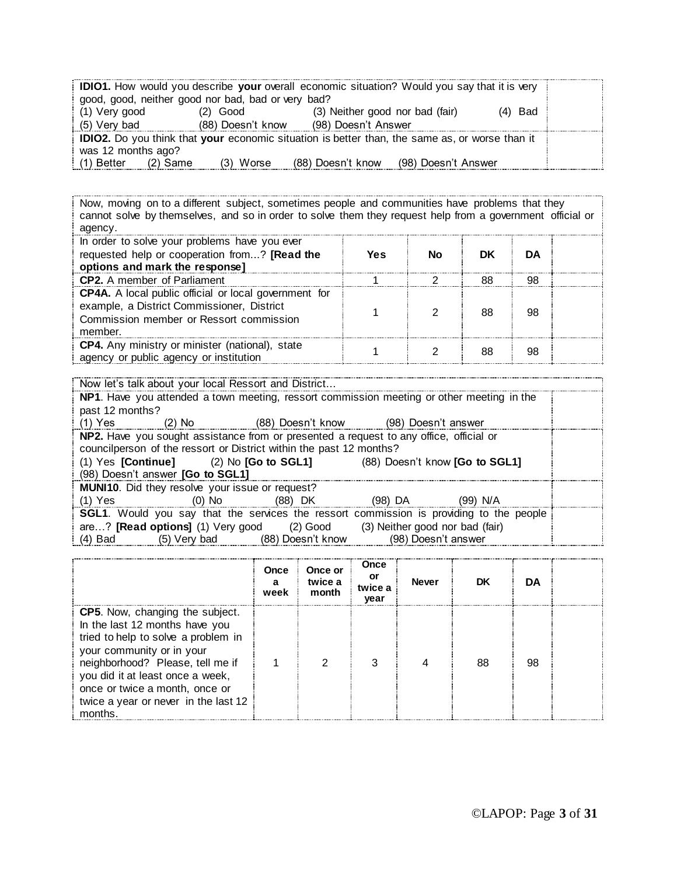|                                                                                                       |                   | <b>DIO1.</b> How would you describe your overall economic situation? Would you say that it is very |           |  |  |  |
|-------------------------------------------------------------------------------------------------------|-------------------|----------------------------------------------------------------------------------------------------|-----------|--|--|--|
| good, good, neither good nor bad, bad or very bad?                                                    |                   |                                                                                                    |           |  |  |  |
| (1) Very good                                                                                         | $(2)$ Good        | (3) Neither good nor bad (fair)                                                                    | $(4)$ Bad |  |  |  |
| (5) Very bad                                                                                          | (88) Doesn't know | (98) Doesn't Answer                                                                                |           |  |  |  |
| <b>IDIO2.</b> Do you think that your economic situation is better than, the same as, or worse than it |                   |                                                                                                    |           |  |  |  |
| was 12 months ago?                                                                                    |                   |                                                                                                    |           |  |  |  |
| : (1) Better<br>(2) Same                                                                              | (3) Worse         | (88) Doesn't know<br>(98) Doesn't Answer                                                           |           |  |  |  |

Now, moving on to a different subject, sometimes people and communities have problems that they cannot solve by themselves, and so in order to solve them they request help from a government official or agency.

| In order to solve your problems have you ever<br>requested help or cooperation from? [Read the<br>options and mark the response]                                 | Yes | Nο | DK | DA |  |
|------------------------------------------------------------------------------------------------------------------------------------------------------------------|-----|----|----|----|--|
| <b>CP2.</b> A member of Parliament                                                                                                                               |     |    | 88 | 98 |  |
| <b>CP4A.</b> A local public official or local government for<br>example, a District Commissioner, District<br>Commission member or Ressort commission<br>member. |     |    | 88 | 98 |  |
| CP4. Any ministry or minister (national), state<br>agency or public agency or institution                                                                        |     |    | 88 | 98 |  |

|                 | Now let's talk about your local Ressort and District |                                                                                        |                     |                                                                                                |  |
|-----------------|------------------------------------------------------|----------------------------------------------------------------------------------------|---------------------|------------------------------------------------------------------------------------------------|--|
|                 |                                                      |                                                                                        |                     | NP1. Have you attended a town meeting, ressort commission meeting or other meeting in the      |  |
| past 12 months? |                                                      |                                                                                        |                     |                                                                                                |  |
|                 |                                                      | (1) Yes (2) No (88) Doesn't know (98) Doesn't answer                                   |                     |                                                                                                |  |
|                 |                                                      | NP2. Have you sought assistance from or presented a request to any office, official or |                     |                                                                                                |  |
|                 |                                                      | councilperson of the ressort or District within the past 12 months?                    |                     |                                                                                                |  |
|                 |                                                      | (1) Yes [Continue] (2) No [Go to SGL1] (88) Doesn't know [Go to SGL1]                  |                     |                                                                                                |  |
|                 | (98) Doesn't answer [Go to SGL1]                     |                                                                                        |                     |                                                                                                |  |
|                 | MUNI10. Did they resolve your issue or request?      |                                                                                        |                     |                                                                                                |  |
|                 |                                                      | (1) Yes (0) No (88) DK (98) DA (99) N/A                                                |                     |                                                                                                |  |
|                 |                                                      |                                                                                        |                     | <b>SGL1.</b> Would you say that the services the ressort commission is providing to the people |  |
|                 |                                                      | are? [Read options] (1) Very good (2) Good (3) Neither good nor bad (fair)             |                     |                                                                                                |  |
|                 |                                                      | (4) Bad (5) Very bad (88) Doesn't know                                                 | (98) Doesn't answer |                                                                                                |  |

|                                                                                                                                                                                                                                                                                                           | Once<br>а<br>week | Once or<br>twice a<br>month | Once<br>or<br>twice a<br>year | <b>Never</b> | DK | DA |  |
|-----------------------------------------------------------------------------------------------------------------------------------------------------------------------------------------------------------------------------------------------------------------------------------------------------------|-------------------|-----------------------------|-------------------------------|--------------|----|----|--|
| <b>CP5.</b> Now, changing the subject.<br>In the last 12 months have you<br>tried to help to solve a problem in<br>your community or in your<br>neighborhood? Please, tell me if<br>you did it at least once a week,<br>once or twice a month, once or<br>twice a year or never in the last 12<br>months. |                   | ⌒                           | З                             |              | 88 | 98 |  |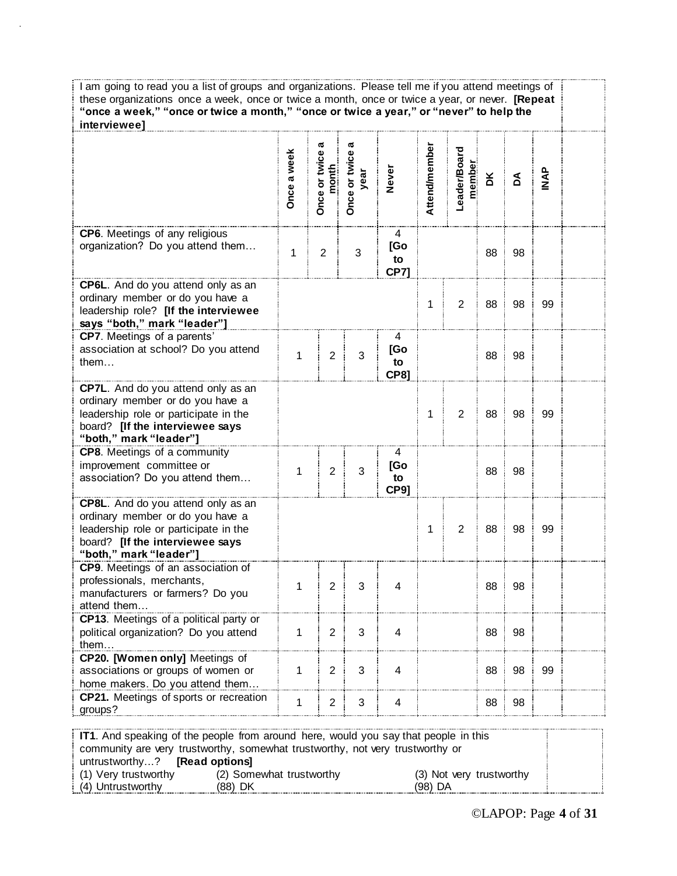| I am going to read you a list of groups and organizations. Please tell me if you attend meetings of<br>these organizations once a week, once or twice a month, once or twice a year, or never. [Repeat<br>"once a week," "once or twice a month," "once or twice a year," or "never" to help the<br>interviewee] |              |                             |                       |                               |               |                        |    |    |              |  |
|------------------------------------------------------------------------------------------------------------------------------------------------------------------------------------------------------------------------------------------------------------------------------------------------------------------|--------------|-----------------------------|-----------------------|-------------------------------|---------------|------------------------|----|----|--------------|--|
|                                                                                                                                                                                                                                                                                                                  | Once a week  | ℼ<br>Once or twice<br>month | Once or twice<br>year | <b>Never</b>                  | Attend/member | Leader/Board<br>member | ă  | Å  | <b>APINI</b> |  |
| CP6. Meetings of any religious<br>organization? Do you attend them                                                                                                                                                                                                                                               | 1            | $\overline{2}$              | $\sqrt{3}$            | 4<br>[Go<br>to<br><b>CP71</b> |               |                        | 88 | 98 |              |  |
| CP6L. And do you attend only as an<br>ordinary member or do you have a<br>leadership role? [If the interviewee<br>says "both," mark "leader"]                                                                                                                                                                    |              |                             |                       |                               | 1             | $\overline{2}$         | 88 | 98 | 99           |  |
| CP7. Meetings of a parents'<br>association at school? Do you attend<br>them                                                                                                                                                                                                                                      | $\mathbf{1}$ | $\overline{2}$              | 3                     | 4<br>[Go<br>to<br><b>CP81</b> |               |                        | 88 | 98 |              |  |
| CP7L. And do you attend only as an<br>ordinary member or do you have a<br>leadership role or participate in the<br>board? [If the interviewee says<br>"both," mark "leader"]                                                                                                                                     |              |                             |                       |                               | 1             | $\overline{2}$         | 88 | 98 | 99           |  |
| <b>CP8.</b> Meetings of a community<br>improvement committee or<br>association? Do you attend them                                                                                                                                                                                                               | $\mathbf{1}$ | $\sqrt{2}$                  | 3                     | 4<br>[Go<br>to<br><b>CP91</b> |               |                        | 88 | 98 |              |  |
| CP8L. And do you attend only as an<br>ordinary member or do you have a<br>leadership role or participate in the<br>board? [If the interviewee says<br>"both," mark "leader"]                                                                                                                                     |              |                             |                       |                               | 1             | 2                      | 88 | 98 | 99           |  |
| CP9. Meetings of an association of<br>professionals, merchants,<br>manufacturers or farmers? Do you<br>attend them                                                                                                                                                                                               | 1            | $\overline{2}$              | 3                     | 4                             |               |                        | 88 | 98 |              |  |
| CP13. Meetings of a political party or<br>political organization? Do you attend<br>them.                                                                                                                                                                                                                         | 1            | $\overline{2}$              | 3                     | 4                             |               |                        | 88 | 98 |              |  |
| CP20. [Women only] Meetings of<br>associations or groups of women or<br>home makers. Do you attend them.                                                                                                                                                                                                         | 1            | $\overline{2}$              | 3                     | 4                             |               |                        | 88 | 98 | 99           |  |
| CP21. Meetings of sports or recreation<br>groups?                                                                                                                                                                                                                                                                |              | $\overline{c}$              | 3                     | 4                             |               |                        | 88 | 98 |              |  |
| IT1. And speaking of the people from around here, would you say that people in this<br>community are very trustworthy, somewhat trustworthy, not very trustworthy or                                                                                                                                             |              |                             |                       |                               |               |                        |    |    |              |  |

| untrustworthy? <b>[Read options]</b> |                          |  |                          |  |
|--------------------------------------|--------------------------|--|--------------------------|--|
| (1) Very trustworthy                 | (2) Somewhat trustworthy |  | (3) Not very trustworthy |  |
| (4) Untrustworthy                    | (88) DK                  |  | (98) DA                  |  |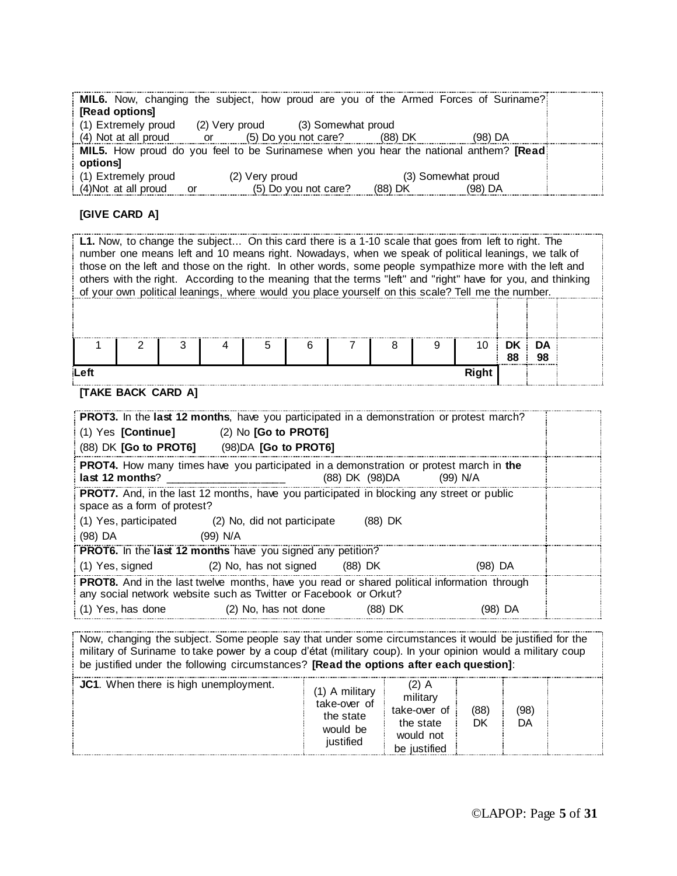|                        |                                   | MIL6. Now, changing the subject, how proud are you of the Armed Forces of Suriname?                   |  |
|------------------------|-----------------------------------|-------------------------------------------------------------------------------------------------------|--|
| [Read options]         |                                   |                                                                                                       |  |
| $(1)$ Extremely proud  | (2) Very proud (3) Somewhat proud |                                                                                                       |  |
| $(4)$ Not at all proud | (5) Do you not care?<br>or o      | $(98)$ DA<br>(88) DK                                                                                  |  |
|                        |                                   | <b>MIL5.</b> How proud do you feel to be Surinamese when you hear the national anthem? <b>[Read</b> ] |  |
| options                |                                   |                                                                                                       |  |
| $(1)$ Extremely proud  | (2) Very proud                    | (3) Somewhat proud                                                                                    |  |
| (4) Not at all proud   | (5) Do you not care?<br>or        | (88) DK<br>(98) DA                                                                                    |  |

#### **[GIVE CARD A]**

**L1.** Now, to change the subject... On this card there is a 1-10 scale that goes from left to right. The number one means left and 10 means right. Nowadays, when we speak of political leanings, we talk of those on the left and those on the right. In other words, some people sympathize more with the left and others with the right. According to the meaning that the terms "left" and "right" have for you, and thinking of your own political leanings, where would you place yourself on this scale? Tell me the number. 1 2 3 4 5 6 7 8 9 10 **DK 88 DA 98 Left Right**

#### **[TAKE BACK CARD A]**

| PROT3. In the last 12 months, have you participated in a demonstration or protest march?                                                                        |  |
|-----------------------------------------------------------------------------------------------------------------------------------------------------------------|--|
| $(1)$ Yes [Continue] $(2)$ No [Go to PROT6]                                                                                                                     |  |
| (88) DK [Go to PROT6] (98) DA [Go to PROT6]                                                                                                                     |  |
| <b>PROT4.</b> How many times have you participated in a demonstration or protest march in the<br>(88) DK (98) DA<br>last 12 months?<br>(99) N/A                 |  |
| <b>PROT7.</b> And, in the last 12 months, have you participated in blocking any street or public<br>space as a form of protest?                                 |  |
| $(1)$ Yes, participated $(2)$ No, did not participate<br>(88) DK                                                                                                |  |
| (98) DA<br>(99) N/A                                                                                                                                             |  |
| <b>PROT6.</b> In the last 12 months have you signed any petition?                                                                                               |  |
| (2) No, has not signed (88) DK<br>(1) Yes, signed<br>(98) DA                                                                                                    |  |
| PROT8. And in the last twelve months, have you read or shared political information through<br>any social network website such as Twitter or Facebook or Orkut? |  |
| (1) Yes, has done<br>(2) No, has not done<br>(88) DK<br>(98) DA                                                                                                 |  |

Now, changing the subject. Some people say that under some circumstances it would be justified for the military of Suriname to take power by a coup d'état (military coup). In your opinion would a military coup be justified under the following circumstances? **[Read the options after each question]**:

| JC1. When there is high unemployment. | A military<br>take-over of<br>the state<br>would be<br>iustified | militar <sup>,</sup><br>take-over of<br>the state<br>would not<br><b>ustified</b><br>ne | (88)<br>DK | (98)<br>DA |  |
|---------------------------------------|------------------------------------------------------------------|-----------------------------------------------------------------------------------------|------------|------------|--|
|---------------------------------------|------------------------------------------------------------------|-----------------------------------------------------------------------------------------|------------|------------|--|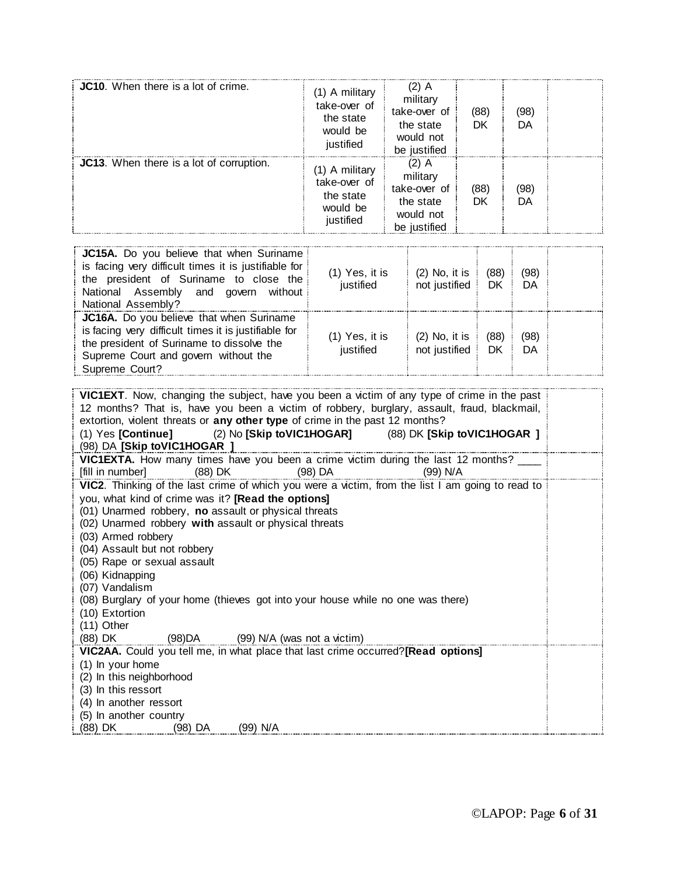| <b>JC10.</b> When there is a lot of crime. | (1) A military<br>take-over of<br>the state<br>would be<br>justified | (2) A<br>military<br>take-over of<br>the state<br>would not<br>be justified | (88)<br>DK | (98)<br>DA |  |
|--------------------------------------------|----------------------------------------------------------------------|-----------------------------------------------------------------------------|------------|------------|--|
| JC13. When there is a lot of corruption.   | (1) A military<br>take-over of<br>the state<br>would be<br>justified | (2) A<br>military<br>take-over of<br>the state<br>would not<br>be justified | (88)<br>DK | (98)<br>DA |  |

| JC15A. Do you believe that when Suriname<br>is facing very difficult times it is justifiable for<br>the president of Suriname to close the<br>National Assembly and govern without<br>National Assembly? | (1) Yes, it is<br>justified   | $(2)$ No, it is<br>not justified | (88)<br>DK        | (98)<br>DA |  |
|----------------------------------------------------------------------------------------------------------------------------------------------------------------------------------------------------------|-------------------------------|----------------------------------|-------------------|------------|--|
| JC16A. Do you believe that when Suriname<br>is facing very difficult times it is justifiable for<br>the president of Suriname to dissolve the<br>Supreme Court and govern without the<br>Supreme Court?  | $(1)$ Yes, it is<br>justified | $(2)$ No, it is<br>not justified | (88)<br><b>DK</b> | (98)<br>DA |  |

| VIC1EXT. Now, changing the subject, have you been a victim of any type of crime in the past                                                             |  |  |  |  |  |  |  |
|---------------------------------------------------------------------------------------------------------------------------------------------------------|--|--|--|--|--|--|--|
| 12 months? That is, have you been a victim of robbery, burglary, assault, fraud, blackmail,                                                             |  |  |  |  |  |  |  |
| extortion, violent threats or any other type of crime in the past 12 months?<br>(1) Yes [Continue] (2) No [Skip toVIC1HOGAR] (88) DK [Skip toVIC1HOGAR] |  |  |  |  |  |  |  |
| (98) DA [Skip toVIC1HOGAR ]                                                                                                                             |  |  |  |  |  |  |  |
| VIC1EXTA. How many times have you been a crime victim during the last 12 months? ____                                                                   |  |  |  |  |  |  |  |
| (88) DK<br>$(98)$ DA<br>[fill in number]<br>(99) N/A                                                                                                    |  |  |  |  |  |  |  |
| VIC2. Thinking of the last crime of which you were a victim, from the list I am going to read to                                                        |  |  |  |  |  |  |  |
| you, what kind of crime was it? [Read the options]                                                                                                      |  |  |  |  |  |  |  |
| (01) Unarmed robbery, no assault or physical threats                                                                                                    |  |  |  |  |  |  |  |
| (02) Unarmed robbery with assault or physical threats                                                                                                   |  |  |  |  |  |  |  |
| (03) Armed robbery                                                                                                                                      |  |  |  |  |  |  |  |
| (04) Assault but not robbery                                                                                                                            |  |  |  |  |  |  |  |
| (05) Rape or sexual assault                                                                                                                             |  |  |  |  |  |  |  |
| (06) Kidnapping<br>(07) Vandalism                                                                                                                       |  |  |  |  |  |  |  |
| (08) Burglary of your home (thieves got into your house while no one was there)                                                                         |  |  |  |  |  |  |  |
| (10) Extortion                                                                                                                                          |  |  |  |  |  |  |  |
| (11) Other                                                                                                                                              |  |  |  |  |  |  |  |
| $(88)$ DK $(98)DA$ $(99)$ N/A (was not a victim)                                                                                                        |  |  |  |  |  |  |  |
| VIC2AA. Could you tell me, in what place that last crime occurred?[Read options]                                                                        |  |  |  |  |  |  |  |
| (1) In your home                                                                                                                                        |  |  |  |  |  |  |  |
| (2) In this neighborhood                                                                                                                                |  |  |  |  |  |  |  |
| (3) In this ressort                                                                                                                                     |  |  |  |  |  |  |  |
| (4) In another ressort                                                                                                                                  |  |  |  |  |  |  |  |
| (5) In another country                                                                                                                                  |  |  |  |  |  |  |  |
| (99) N/A<br>(88) DK<br>(98) DA                                                                                                                          |  |  |  |  |  |  |  |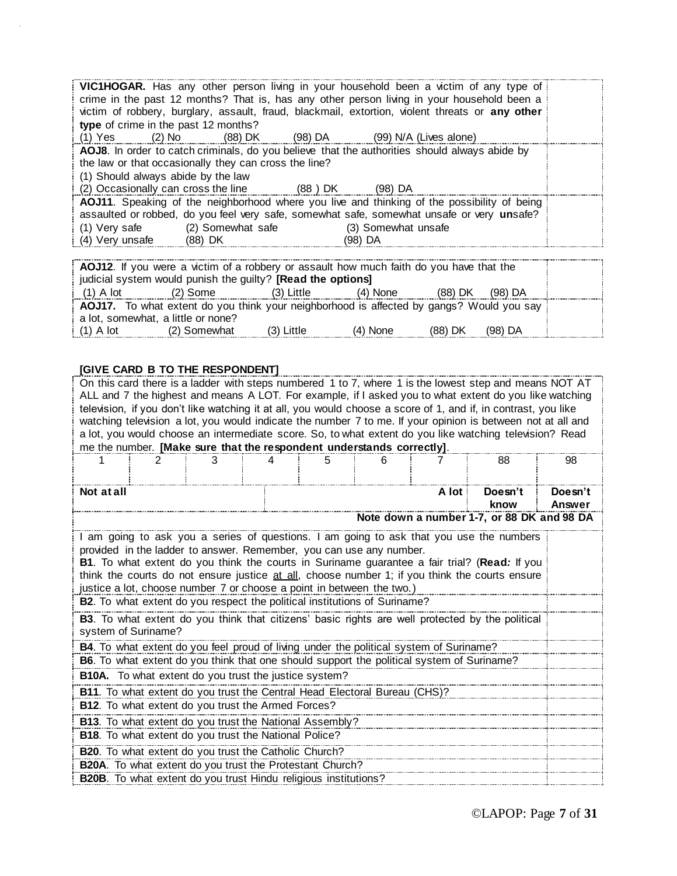| VIC1HOGAR. Has any other person living in your household been a victim of any type of<br>crime in the past 12 months? That is, has any other person living in your household been a<br>victim of robbery, burglary, assault, fraud, blackmail, extortion, violent threats or any other |  |  |                                |  |  |  |
|----------------------------------------------------------------------------------------------------------------------------------------------------------------------------------------------------------------------------------------------------------------------------------------|--|--|--------------------------------|--|--|--|
| type of crime in the past 12 months?                                                                                                                                                                                                                                                   |  |  |                                |  |  |  |
| (1) Yes (2) No (88) DK (98) DA (99) N/A (Lives alone)                                                                                                                                                                                                                                  |  |  |                                |  |  |  |
| AOJ8. In order to catch criminals, do you believe that the authorities should always abide by<br>the law or that occasionally they can cross the line?<br>(1) Should always abide by the law                                                                                           |  |  |                                |  |  |  |
| (2) Occasionally can cross the line (88) DK (98) DA                                                                                                                                                                                                                                    |  |  |                                |  |  |  |
| AOJ11. Speaking of the neighborhood where you live and thinking of the possibility of being<br>assaulted or robbed, do you feel very safe, somewhat safe, somewhat unsafe or very unsafe?<br>(1) Very safe (2) Somewhat safe<br>(4) Very unsafe (88) DK                                |  |  | (3) Somewhat unsafe<br>(98) DA |  |  |  |

| AOJ12. If you were a victim of a robbery or assault how much faith do you have that the  |                                                             |              |            |         |           |  |  |
|------------------------------------------------------------------------------------------|-------------------------------------------------------------|--------------|------------|---------|-----------|--|--|
|                                                                                          | judicial system would punish the guilty? [Read the options] |              |            |         |           |  |  |
| $(1)$ A lot                                                                              | (2) Some                                                    | (3) Little   | $(4)$ None | (88) DK | $(98)$ DA |  |  |
| AOJ17. To what extent do you think your neighborhood is affected by gangs? Would you say |                                                             |              |            |         |           |  |  |
|                                                                                          | a lot, somewhat, a little or none?                          |              |            |         |           |  |  |
| $(1)$ A lot                                                                              | (2) Somewhat                                                | $(3)$ Little | $(4)$ None | (88) DK | $(98)$ DA |  |  |

### **[GIVE CARD B TO THE RESPONDENT]**

| On this card there is a ladder with steps numbered 1 to 7, where 1 is the lowest step and means NOT AT<br>ALL and 7 the highest and means A LOT. For example, if I asked you to what extent do you like watching<br>television, if you don't like watching it at all, you would choose a score of 1, and if, in contrast, you like<br>watching television a lot, you would indicate the number 7 to me. If your opinion is between not at all and<br>a lot, you would choose an intermediate score. So, to what extent do you like watching television? Read<br>me the number. [Make sure that the respondent understands correctly]. |                                                                                           |   |  |   |   |         |                                                                                                 |                   |
|---------------------------------------------------------------------------------------------------------------------------------------------------------------------------------------------------------------------------------------------------------------------------------------------------------------------------------------------------------------------------------------------------------------------------------------------------------------------------------------------------------------------------------------------------------------------------------------------------------------------------------------|-------------------------------------------------------------------------------------------|---|--|---|---|---------|-------------------------------------------------------------------------------------------------|-------------------|
|                                                                                                                                                                                                                                                                                                                                                                                                                                                                                                                                                                                                                                       | 2                                                                                         | 3 |  | 5 | 6 |         | 88                                                                                              | 98                |
| Not at all                                                                                                                                                                                                                                                                                                                                                                                                                                                                                                                                                                                                                            |                                                                                           |   |  |   |   | A lot i | Doesn't<br>know                                                                                 | Doesn't<br>Answer |
|                                                                                                                                                                                                                                                                                                                                                                                                                                                                                                                                                                                                                                       |                                                                                           |   |  |   |   |         | Note down a number 1-7, or 88 DK and 98 DA                                                      |                   |
| I am going to ask you a series of questions. I am going to ask that you use the numbers<br>provided in the ladder to answer. Remember, you can use any number.<br><b>B1.</b> To what extent do you think the courts in Suriname guarantee a fair trial? (Read: If you<br>think the courts do not ensure justice at all, choose number 1; if you think the courts ensure<br>justice a lot, choose number 7 or choose a point in between the two.)                                                                                                                                                                                      |                                                                                           |   |  |   |   |         |                                                                                                 |                   |
|                                                                                                                                                                                                                                                                                                                                                                                                                                                                                                                                                                                                                                       | <b>B2.</b> To what extent do you respect the political institutions of Suriname?          |   |  |   |   |         |                                                                                                 |                   |
|                                                                                                                                                                                                                                                                                                                                                                                                                                                                                                                                                                                                                                       | system of Suriname?                                                                       |   |  |   |   |         | B3. To what extent do you think that citizens' basic rights are well protected by the political |                   |
|                                                                                                                                                                                                                                                                                                                                                                                                                                                                                                                                                                                                                                       | B4. To what extent do you feel proud of living under the political system of Suriname?    |   |  |   |   |         |                                                                                                 |                   |
|                                                                                                                                                                                                                                                                                                                                                                                                                                                                                                                                                                                                                                       | B6. To what extent do you think that one should support the political system of Suriname? |   |  |   |   |         |                                                                                                 |                   |
|                                                                                                                                                                                                                                                                                                                                                                                                                                                                                                                                                                                                                                       | B10A. To what extent do you trust the justice system?                                     |   |  |   |   |         |                                                                                                 |                   |
| B11. To what extent do you trust the Central Head Electoral Bureau (CHS)?<br>B12. To what extent do you trust the Armed Forces?                                                                                                                                                                                                                                                                                                                                                                                                                                                                                                       |                                                                                           |   |  |   |   |         |                                                                                                 |                   |
| B13. To what extent do you trust the National Assembly?                                                                                                                                                                                                                                                                                                                                                                                                                                                                                                                                                                               |                                                                                           |   |  |   |   |         |                                                                                                 |                   |
| B18. To what extent do you trust the National Police?                                                                                                                                                                                                                                                                                                                                                                                                                                                                                                                                                                                 |                                                                                           |   |  |   |   |         |                                                                                                 |                   |
|                                                                                                                                                                                                                                                                                                                                                                                                                                                                                                                                                                                                                                       | B20. To what extent do you trust the Catholic Church?                                     |   |  |   |   |         |                                                                                                 |                   |
|                                                                                                                                                                                                                                                                                                                                                                                                                                                                                                                                                                                                                                       | B20A. To what extent do you trust the Protestant Church?                                  |   |  |   |   |         |                                                                                                 |                   |
| <b>B20B.</b> To what extent do you trust Hindu religious institutions?                                                                                                                                                                                                                                                                                                                                                                                                                                                                                                                                                                |                                                                                           |   |  |   |   |         |                                                                                                 |                   |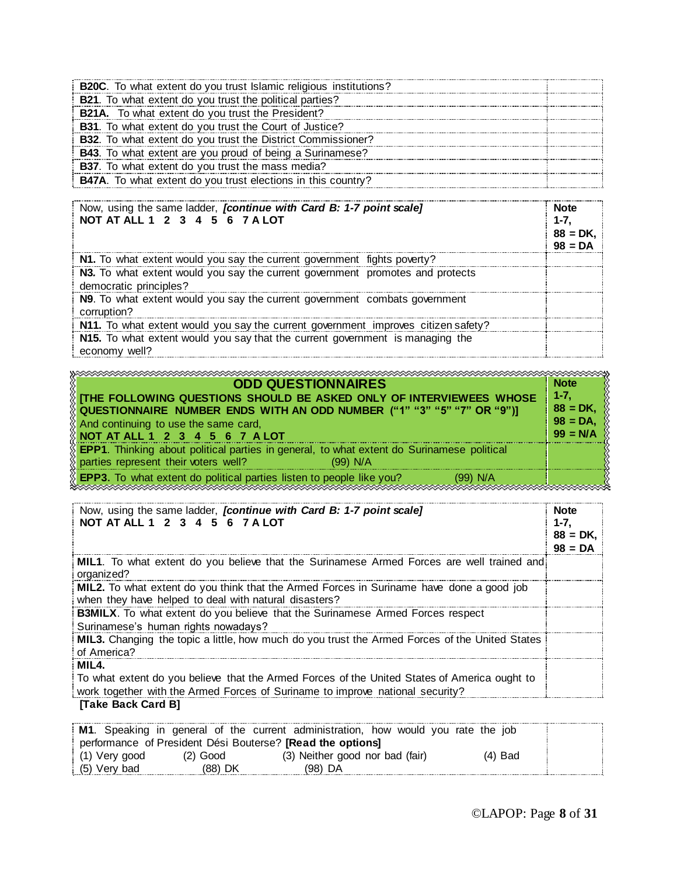| B20C. To what extent do you trust Islamic religious institutions?    |  |
|----------------------------------------------------------------------|--|
| <b>B21.</b> To what extent do you trust the political parties?       |  |
| <b>B21A.</b> To what extent do you trust the President?              |  |
| <b>B31</b> . To what extent do you trust the Court of Justice?       |  |
| <b>B32.</b> To what extent do you trust the District Commissioner?   |  |
| <b>B43</b> . To what extent are you proud of being a Surinamese?     |  |
| <b>B37.</b> To what extent do you trust the mass media?              |  |
| <b>B47A</b> . To what extent do you trust elections in this country? |  |

| Now, using the same ladder, <i>[continue with Card B: 1-7 point scale]</i><br>NOT AT ALL 1 2 3 4 5 6 7 A LOT | <b>Note</b><br>1-7.<br>$88 = DK.$<br>$98 = DA$ |
|--------------------------------------------------------------------------------------------------------------|------------------------------------------------|
| N1. To what extent would you say the current government fights poverty?                                      |                                                |
| N3. To what extent would you say the current government promotes and protects<br>democratic principles?      |                                                |
| N9. To what extent would you say the current government combats government<br>corruption?                    |                                                |
| N11. To what extent would you say the current government improves citizen safety?                            |                                                |
| N15. To what extent would you say that the current government is managing the<br>economy well?               |                                                |

| <b>ODD QUESTIONNAIRES</b><br>$\%$ [the following questions should be asked only of interviewees whose<br>QUESTIONNAIRE NUMBER ENDS WITH AN ODD NUMBER ("1" "3" "5" "7" OR "9")] | <b>Note</b><br>$1 - 7.$<br>$88 = DK.$ |
|---------------------------------------------------------------------------------------------------------------------------------------------------------------------------------|---------------------------------------|
| And continuing to use the same card,<br>$\%$ NOT AT ALL 1 2 3 4 5 6 7 A LOT                                                                                                     | $98 = DA$<br>$99 = N/A$               |
| <b>EPP1.</b> Thinking about political parties in general, to what extent do Surinamese political<br>parties represent their voters well?<br>$(99)$ N/A                          |                                       |
| $\%$ EPP3. To what extent do political parties listen to people like you?<br>(99) N/A                                                                                           |                                       |

| Now, using the same ladder, <i>fcontinue with Card B: 1-7 point scale]</i><br>NOT AT ALL 1 2 3 4 5 6 7 A LOT                                                                           | <b>Note</b><br>$1 - 7.$<br>$88 = DK.$<br>$98 = DA$ |
|----------------------------------------------------------------------------------------------------------------------------------------------------------------------------------------|----------------------------------------------------|
| <b>MIL1.</b> To what extent do you believe that the Surinamese Armed Forces are well trained and!<br>organized?                                                                        |                                                    |
| MIL2. To what extent do you think that the Armed Forces in Suriname have done a good job<br>when they have helped to deal with natural disasters?                                      |                                                    |
| <b>B3MILX</b> . To what extent do you believe that the Surinamese Armed Forces respect<br>Surinamese's human rights nowadays?                                                          |                                                    |
| MIL3. Changing the topic a little, how much do you trust the Armed Forces of the United States<br>of America?                                                                          |                                                    |
| MIL4.<br>To what extent do you believe that the Armed Forces of the United States of America ought to<br>work together with the Armed Forces of Suriname to improve national security? |                                                    |
| [Take Back Card B]                                                                                                                                                                     |                                                    |

|                 |                                                                   | <b>M1.</b> Speaking in general of the current administration, how would you rate the job |           |
|-----------------|-------------------------------------------------------------------|------------------------------------------------------------------------------------------|-----------|
|                 | performance of President Dési Bouterse? <b>[Read the options]</b> |                                                                                          |           |
| $(1)$ Very good | $(2)$ Good                                                        | (3) Neither good nor bad (fair)                                                          | $(4)$ Bad |
| $(5)$ Very bad  | (88) DK                                                           | (98) DA                                                                                  |           |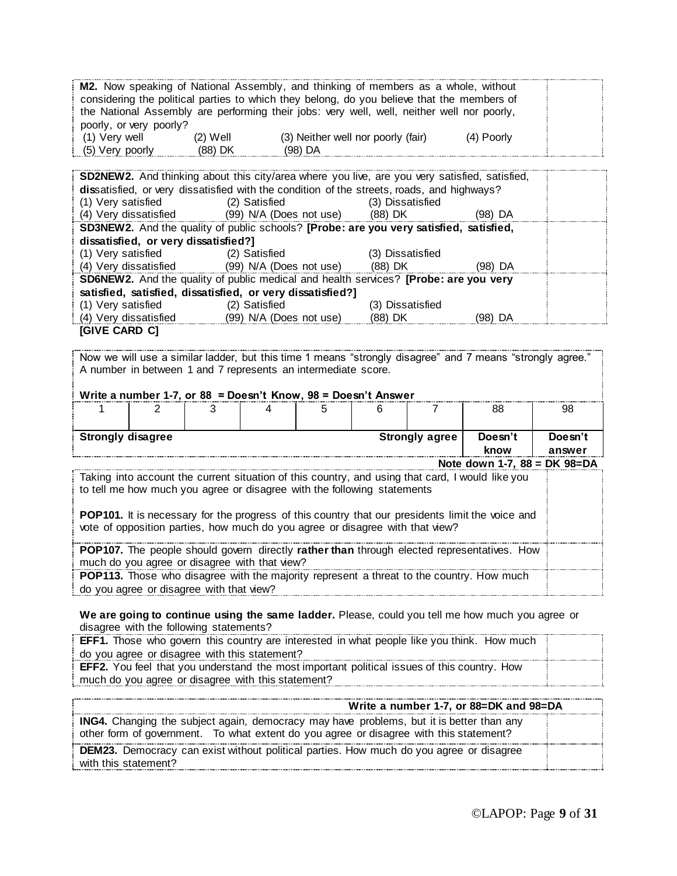**M2.** Now speaking of National Assembly, and thinking of members as a whole, without considering the political parties to which they belong, do you believe that the members of the National Assembly are performing their jobs: very well, well, neither well nor poorly, poorly, or very poorly? (1) Very well (2) Well (3) Neither well nor poorly (fair) (4) Poorly (5) Very poorly (88) DK (98) DA

| <b>SD2NEW2.</b> And thinking about this city/area where you live, are you very satisfied, satisfied, |                                                       |                  |         |  |  |  |  |  |
|------------------------------------------------------------------------------------------------------|-------------------------------------------------------|------------------|---------|--|--|--|--|--|
| dissatisfied, or very dissatisfied with the condition of the streets, roads, and highways?           |                                                       |                  |         |  |  |  |  |  |
| (1) Very satisfied                                                                                   | (2) Satisfied                                         | (3) Dissatisfied |         |  |  |  |  |  |
|                                                                                                      | (4) Very dissatisfied (99) N/A (Does not use) (88) DK |                  | (98) DA |  |  |  |  |  |
| SD3NEW2. And the quality of public schools? [Probe: are you very satisfied, satisfied,               |                                                       |                  |         |  |  |  |  |  |
| dissatisfied, or very dissatisfied?]                                                                 |                                                       |                  |         |  |  |  |  |  |
| (1) Very satisfied (2) Satisfied                                                                     |                                                       | (3) Dissatisfied |         |  |  |  |  |  |
|                                                                                                      | (4) Very dissatisfied (99) N/A (Does not use) (88) DK |                  | (98) DA |  |  |  |  |  |
| <b>SD6NEW2.</b> And the quality of public medical and health services? [Probe: are you very          |                                                       |                  |         |  |  |  |  |  |
| satisfied, satisfied, dissatisfied, or very dissatisfied?]                                           |                                                       |                  |         |  |  |  |  |  |
| (1) Very satisfied                                                                                   | (2) Satisfied                                         | (3) Dissatisfied |         |  |  |  |  |  |
| (4) Very dissatisfied                                                                                | (99) N/A (Does not use)                               | (88) DK          | (98) DA |  |  |  |  |  |
| <b>[GIVE CARD C]</b>                                                                                 |                                                       |                  |         |  |  |  |  |  |

Now we will use a similar ladder, but this time 1 means "strongly disagree" and 7 means "strongly agree." A number in between 1 and 7 represents an intermediate score.

| Write a number 1-7, or $88$ = Doesn't Know, $98$ = Doesn't Answer                                |                |  |  |  |    |                       |         |         |
|--------------------------------------------------------------------------------------------------|----------------|--|--|--|----|-----------------------|---------|---------|
|                                                                                                  |                |  |  |  | 88 | 98                    |         |         |
|                                                                                                  |                |  |  |  |    |                       |         |         |
| <b>Strongly disagree</b>                                                                         |                |  |  |  |    | <b>Strongly agree</b> | Doesn't | Doesn't |
|                                                                                                  | know<br>answer |  |  |  |    |                       |         |         |
| Note down 1-7, 88 = DK 98=DA                                                                     |                |  |  |  |    |                       |         |         |
| Taking into account the current situation of this country, and using that card, I would like you |                |  |  |  |    |                       |         |         |
| to tell me how much you agree or disagree with the following statements                          |                |  |  |  |    |                       |         |         |

**POP101.** It is necessary for the progress of this country that our presidents limit the voice and vote of opposition parties, how much do you agree or disagree with that view?

**POP107.** The people should govern directly **rather than** through elected representatives. How much do you agree or disagree with that view?

**POP113.** Those who disagree with the majority represent a threat to the country. How much do you agree or disagree with that view?

**We are going to continue using the same ladder.** Please, could you tell me how much you agree or disagree with the following statements?

| <b>EFF1.</b> Those who govern this country are interested in what people like you think. How much  |  |
|----------------------------------------------------------------------------------------------------|--|
| do you agree or disagree with this statement?                                                      |  |
| <b>EFF2.</b> You feel that you understand the most important political issues of this country. How |  |
| much do vou agree or disagree with this statement?                                                 |  |

| Write a number 1-7, or 88=DK and 98=DA                                                                                                                                                    |  |
|-------------------------------------------------------------------------------------------------------------------------------------------------------------------------------------------|--|
| <b>ING4.</b> Changing the subject again, democracy may have problems, but it is better than any<br>other form of government. To what extent do you agree or disagree with this statement? |  |
| <b>DEM23.</b> Democracy can exist without political parties. How much do you agree or disagree<br>with this statement?                                                                    |  |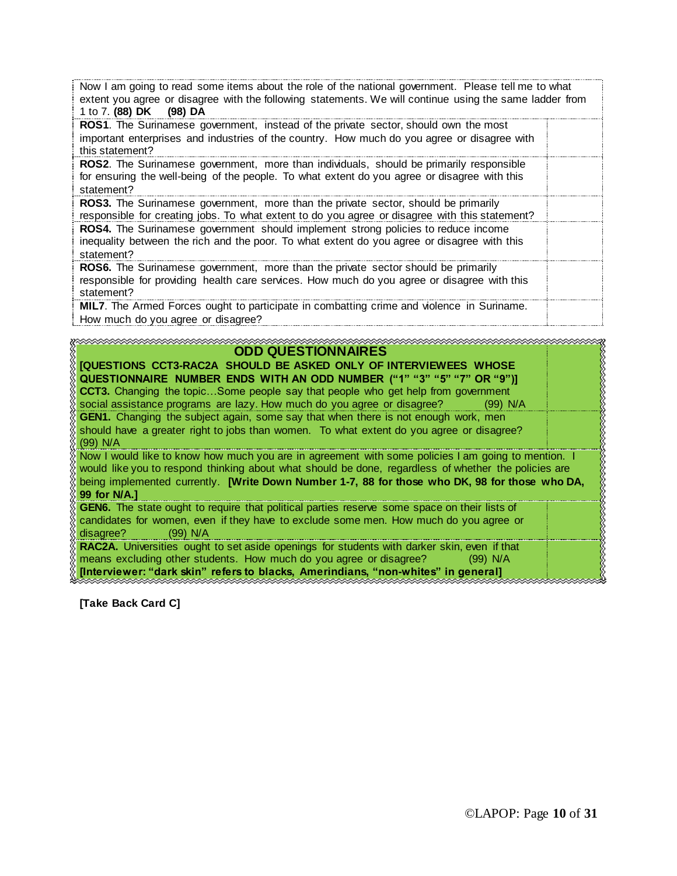| Now I am going to read some items about the role of the national government. Please tell me to what<br>extent you agree or disagree with the following statements. We will continue using the same ladder from<br>1 to 7. (88) DK (98) DA |  |
|-------------------------------------------------------------------------------------------------------------------------------------------------------------------------------------------------------------------------------------------|--|
| <b>ROS1</b> . The Surinamese government, instead of the private sector, should own the most<br>important enterprises and industries of the country. How much do you agree or disagree with<br>this statement?                             |  |
| <b>ROS2.</b> The Surinamese government, more than individuals, should be primarily responsible<br>for ensuring the well-being of the people. To what extent do you agree or disagree with this<br>statement?                              |  |
| ROS3. The Surinamese government, more than the private sector, should be primarily<br>responsible for creating jobs. To what extent to do you agree or disagree with this statement?                                                      |  |
| <b>ROS4.</b> The Surinamese government should implement strong policies to reduce income<br>inequality between the rich and the poor. To what extent do you agree or disagree with this<br>statement?                                     |  |
| ROS6. The Surinamese government, more than the private sector should be primarily<br>responsible for providing health care services. How much do you agree or disagree with this<br>statement?                                            |  |
| MIL7. The Armed Forces ought to participate in combatting crime and violence in Suriname.<br>How much do you agree or disagree?                                                                                                           |  |

### **ODD QUESTIONNAIRES**

| <b>[QUESTIONS CCT3-RAC2A SHOULD BE ASKED ONLY OF INTERVIEWEES WHOSE</b>                              |  |
|------------------------------------------------------------------------------------------------------|--|
| QUESTIONNAIRE NUMBER ENDS WITH AN ODD NUMBER ("1" "3" "5" "7" OR "9")]                               |  |
| <b>CCT3.</b> Changing the topicSome people say that people who get help from government              |  |
| social assistance programs are lazy. How much do you agree or disagree? (99) N/A                     |  |
| <b>GEN1.</b> Changing the subject again, some say that when there is not enough work, men            |  |
| should have a greater right to jobs than women. To what extent do you agree or disagree?             |  |
| $(99)$ N/A                                                                                           |  |
|                                                                                                      |  |
| Now I would like to know how much you are in agreement with some policies I am going to mention. I   |  |
| would like you to respond thinking about what should be done, regardless of whether the policies are |  |
| being implemented currently. [Write Down Number 1-7, 88 for those who DK, 98 for those who DA,       |  |
|                                                                                                      |  |
| 99 for N/A.]                                                                                         |  |
|                                                                                                      |  |
| GEN6. The state ought to require that political parties reserve some space on their lists of         |  |
| candidates for women, even if they have to exclude some men. How much do you agree or                |  |
| disagree?<br>(99) N/A                                                                                |  |
| RAC2A. Universities ought to set aside openings for students with darker skin, even if that          |  |
| means excluding other students. How much do you agree or disagree?<br>$(99)$ N/A                     |  |

**[Take Back Card C]**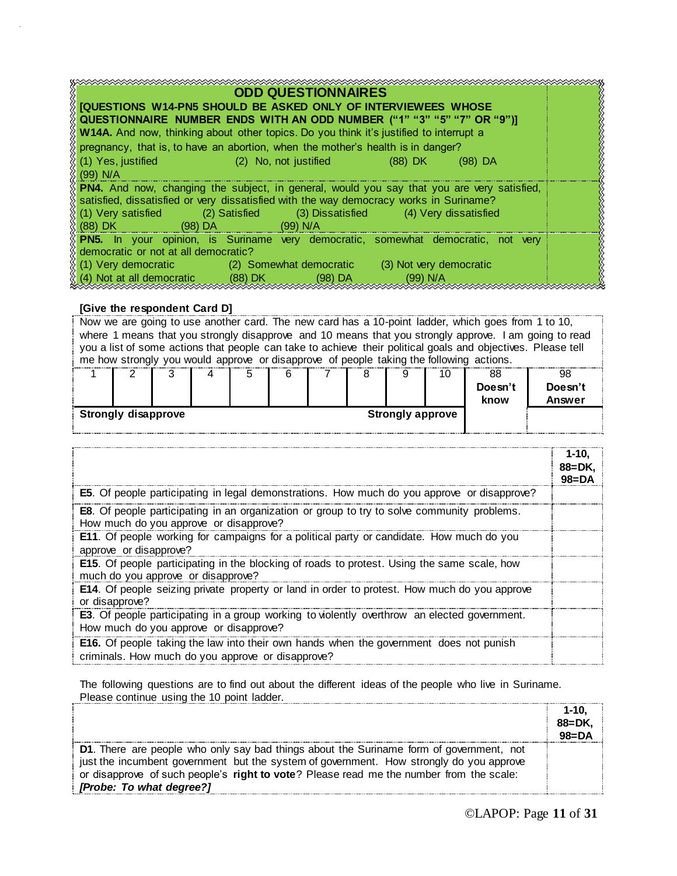| <b>ODD QUESTIONNAIRES</b>                                                                         |  |  |  |  |  |  |  |
|---------------------------------------------------------------------------------------------------|--|--|--|--|--|--|--|
| <b>[QUESTIONS W14-PN5 SHOULD BE ASKED ONLY OF INTERVIEWEES WHOSE</b>                              |  |  |  |  |  |  |  |
| QUESTIONNAIRE NUMBER ENDS WITH AN ODD NUMBER ("1" "3" "5" "7" OR "9")]                            |  |  |  |  |  |  |  |
| W14A. And now, thinking about other topics. Do you think it's justified to interrupt a            |  |  |  |  |  |  |  |
| pregnancy, that is, to have an abortion, when the mother's health is in danger?                   |  |  |  |  |  |  |  |
| (1) Yes, justified<br>(2) No, not justified<br>(88) DK<br>(98) DA                                 |  |  |  |  |  |  |  |
| $(99)$ N/A                                                                                        |  |  |  |  |  |  |  |
| <b>PN4.</b> And now, changing the subject, in general, would you say that you are very satisfied, |  |  |  |  |  |  |  |
| satisfied, dissatisfied or very dissatisfied with the way democracy works in Suriname?            |  |  |  |  |  |  |  |
| (1) Very satisfied (2) Satisfied (3) Dissatisfied (4) Very dissatisfied                           |  |  |  |  |  |  |  |
| $(88)$ DK $\sim$<br>(98) DA                                                                       |  |  |  |  |  |  |  |
| PN5. In your opinion, is Suriname very democratic, somewhat democratic, not very                  |  |  |  |  |  |  |  |
| democratic or not at all democratic?                                                              |  |  |  |  |  |  |  |
| (1) Very democratic (2) Somewhat democratic (3) Not very democratic                               |  |  |  |  |  |  |  |
| (4) Not at all democratic (88) DK<br>$(98)$ DA<br>$(99)$ N/A                                      |  |  |  |  |  |  |  |
|                                                                                                   |  |  |  |  |  |  |  |

#### **[Give the respondent Card D]**

|                                                       | Now we are going to use another card. The new card has a 10-point ladder, which goes from 1 to 10,           |  |  |  |   |  |  |    |         |         |
|-------------------------------------------------------|--------------------------------------------------------------------------------------------------------------|--|--|--|---|--|--|----|---------|---------|
|                                                       | where 1 means that you strongly disapprove and 10 means that you strongly approve. I am going to read        |  |  |  |   |  |  |    |         |         |
|                                                       | you a list of some actions that people can take to achieve their political goals and objectives. Please tell |  |  |  |   |  |  |    |         |         |
|                                                       | me how strongly you would approve or disapprove of people taking the following actions.                      |  |  |  |   |  |  |    |         |         |
|                                                       |                                                                                                              |  |  |  | 6 |  |  | 10 | 88      | 98      |
|                                                       |                                                                                                              |  |  |  |   |  |  |    | Doesn't | Doesn't |
|                                                       |                                                                                                              |  |  |  |   |  |  |    | know    | Answer  |
| <b>Strongly disapprove</b><br><b>Strongly approve</b> |                                                                                                              |  |  |  |   |  |  |    |         |         |
|                                                       |                                                                                                              |  |  |  |   |  |  |    |         |         |

|                                                                                                                                                    | 1-10.<br>$88 = DK.$<br>$98 = DA$ |
|----------------------------------------------------------------------------------------------------------------------------------------------------|----------------------------------|
| E5. Of people participating in legal demonstrations. How much do you approve or disapprove?                                                        |                                  |
| <b>E8</b> . Of people participating in an organization or group to try to solve community problems.<br>How much do you approve or disapprove?      |                                  |
| <b>E11.</b> Of people working for campaigns for a political party or candidate. How much do you<br>approve or disapprove?                          |                                  |
| <b>E15.</b> Of people participating in the blocking of roads to protest. Using the same scale, how<br>much do you approve or disapprove?           |                                  |
| E14. Of people seizing private property or land in order to protest. How much do you approve<br>or disapprove?                                     |                                  |
| <b>E3</b> . Of people participating in a group working to violently overthrow an elected government.<br>How much do you approve or disapprove?     |                                  |
| <b>E16.</b> Of people taking the law into their own hands when the government does not punish<br>criminals. How much do you approve or disapprove? |                                  |

The following questions are to find out about the different ideas of the people who live in Suriname. Please continue using the 10 point ladder.

|                                                                                         | $1 - 10.$  |
|-----------------------------------------------------------------------------------------|------------|
|                                                                                         | $88 = DK.$ |
|                                                                                         | $98 = DA$  |
| D1. There are people who only say bad things about the Suriname form of government, not |            |
| just the incumbent government but the system of government. How strongly do you approve |            |
| or disapprove of such people's right to vote? Please read me the number from the scale: |            |
| [Probe: To what degree?]                                                                |            |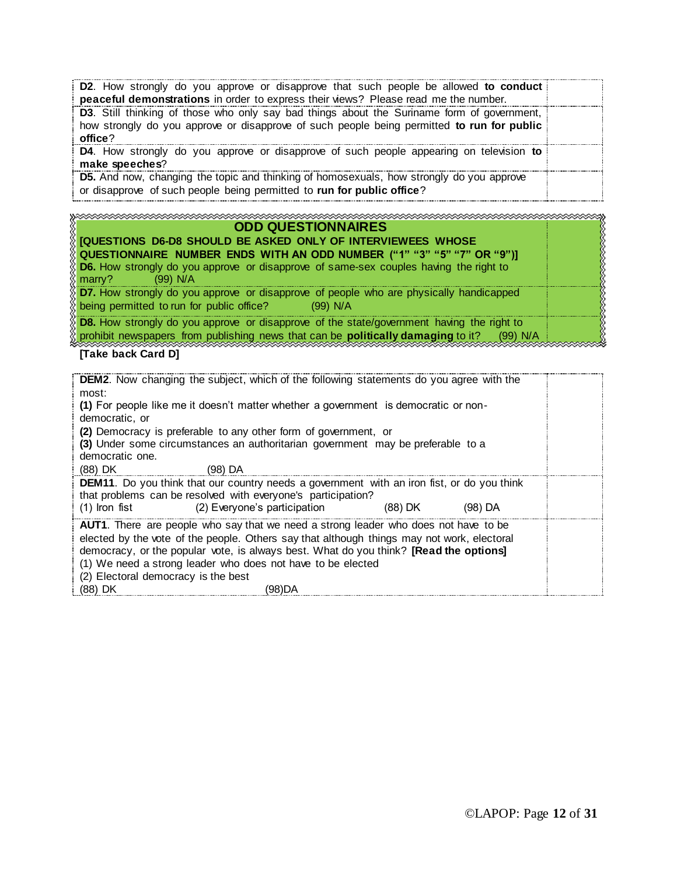| <b>D2.</b> How strongly do you approve or disapprove that such people be allowed to conduct<br>peaceful demonstrations in order to express their views? Please read me the number.                  |  |
|-----------------------------------------------------------------------------------------------------------------------------------------------------------------------------------------------------|--|
| D3. Still thinking of those who only say bad things about the Suriname form of government,<br>how strongly do you approve or disapprove of such people being permitted to run for public<br>office? |  |
| <b>D4.</b> How strongly do you approve or disapprove of such people appearing on television to<br>make speeches?                                                                                    |  |
| D5. And now, changing the topic and thinking of homosexuals, how strongly do you approve<br>or disapprove of such people being permitted to run for public office?                                  |  |
|                                                                                                                                                                                                     |  |

| na aanaa aanaa aanaa aanaa aanaa aanaa aanaa aanaa aanaa aanaa aanaa aanaa aanaa aanaa aanaa aanaa aanaa aana                                              |  |
|------------------------------------------------------------------------------------------------------------------------------------------------------------|--|
| <b>ODD QUESTIONNAIRES</b>                                                                                                                                  |  |
| <b>IQUESTIONS D6-D8 SHOULD BE ASKED ONLY OF INTERVIEWEES WHOSE</b>                                                                                         |  |
| RQUESTIONNAIRE  NUMBER  ENDS  WITH AN ODD  NUMBER  ("1"  "3"  "5"  "7"  OR  "9")]                                                                          |  |
| D6. How strongly do you approve or disapprove of same-sex couples having the right to<br>$(99)$ N/A<br>$\frac{1}{2}$ marrv?                                |  |
|                                                                                                                                                            |  |
| $\delta$ D7. How strongly do you approve or disapprove of people who are physically handicapped<br>being permitted to run for public office?<br>$(99)$ N/A |  |
| <b>D8.</b> How strongly do you approve or disapprove of the state/government having the right to                                                           |  |
| prohibit newspapers from publishing news that can be <b>politically damaging</b> to it?<br>(99) N/A                                                        |  |

### **[Take back Card D]**

| <b>DEM2.</b> Now changing the subject, which of the following statements do you agree with the<br>most:                                                                             |  |
|-------------------------------------------------------------------------------------------------------------------------------------------------------------------------------------|--|
| (1) For people like me it doesn't matter whether a government is democratic or non-<br>democratic, or                                                                               |  |
| (2) Democracy is preferable to any other form of government, or                                                                                                                     |  |
| (3) Under some circumstances an authoritarian government may be preferable to a<br>democratic one.                                                                                  |  |
| (88) DK<br>(98) DA                                                                                                                                                                  |  |
| <b>DEM11.</b> Do you think that our country needs a government with an iron fist, or do you think<br>that problems can be resolved with everyone's participation?                   |  |
| (2) Everyone's participation<br>(98) DA<br>$(1)$ Iron fist<br>(88) DK                                                                                                               |  |
| <b>AUT1</b> . There are people who say that we need a strong leader who does not have to be                                                                                         |  |
| elected by the vote of the people. Others say that although things may not work, electoral<br>democracy, or the popular vote, is always best. What do you think? [Read the options] |  |
| (1) We need a strong leader who does not have to be elected                                                                                                                         |  |
| (2) Electoral democracy is the best                                                                                                                                                 |  |
| (88) DK<br>(98)DA                                                                                                                                                                   |  |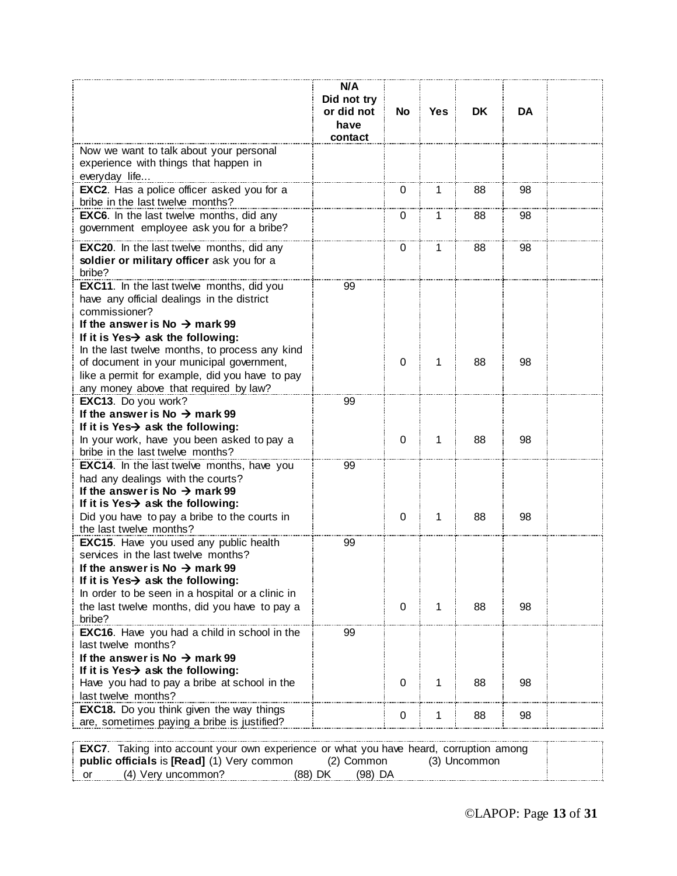|                                                                                               | N/A<br>Did not try<br>or did not | No          | Yes i | DK.          | DA |  |
|-----------------------------------------------------------------------------------------------|----------------------------------|-------------|-------|--------------|----|--|
|                                                                                               | have<br>contact                  |             |       |              |    |  |
| Now we want to talk about your personal                                                       |                                  |             |       |              |    |  |
| experience with things that happen in                                                         |                                  |             |       |              |    |  |
| everyday life<br><b>EXC2.</b> Has a police officer asked you for a                            |                                  | 0           | 1.    | 88           | 98 |  |
| bribe in the last twelve months?                                                              |                                  |             |       |              |    |  |
| <b>EXC6.</b> In the last twelve months, did any                                               |                                  | 0           | 1     | 88           | 98 |  |
| government employee ask you for a bribe?                                                      |                                  |             |       |              |    |  |
| EXC20. In the last twelve months, did any                                                     |                                  | 0           | 1     | 88           | 98 |  |
| soldier or military officer ask you for a<br>bribe?                                           |                                  |             |       |              |    |  |
| <b>EXC11.</b> In the last twelve months, did you                                              | 99                               |             |       |              |    |  |
| have any official dealings in the district                                                    |                                  |             |       |              |    |  |
| commissioner?<br>If the answer is No $\rightarrow$ mark 99                                    |                                  |             |       |              |    |  |
| If it is Yes $\rightarrow$ ask the following:                                                 |                                  |             |       |              |    |  |
| In the last twelve months, to process any kind                                                |                                  |             |       |              |    |  |
| of document in your municipal government,                                                     |                                  | 0           | 1     | 88           | 98 |  |
| like a permit for example, did you have to pay                                                |                                  |             |       |              |    |  |
| any money above that required by law?                                                         |                                  |             |       |              |    |  |
| EXC13. Do you work?<br>If the answer is No $\rightarrow$ mark 99                              | 99                               |             |       |              |    |  |
| If it is Yes $\rightarrow$ ask the following:                                                 |                                  |             |       |              |    |  |
| In your work, have you been asked to pay a                                                    |                                  | 0           | 1     | 88           | 98 |  |
| bribe in the last twelve months?                                                              |                                  |             |       |              |    |  |
| <b>EXC14.</b> In the last twelve months, have you                                             | 99                               |             |       |              |    |  |
| had any dealings with the courts?                                                             |                                  |             |       |              |    |  |
| If the answer is No $\rightarrow$ mark 99                                                     |                                  |             |       |              |    |  |
| If it is Yes $\rightarrow$ ask the following:                                                 |                                  |             |       |              |    |  |
| Did you have to pay a bribe to the courts in                                                  |                                  | 0           | 1     | 88           | 98 |  |
| the last twelve months?                                                                       |                                  |             |       |              |    |  |
| <b>EXC15.</b> Have you used any public health<br>services in the last twelve months?          | 99                               |             |       |              |    |  |
| If the answer is No $\rightarrow$ mark 99                                                     |                                  |             |       |              |    |  |
| If it is Yes $\rightarrow$ ask the following:                                                 |                                  |             |       |              |    |  |
| In order to be seen in a hospital or a clinic in                                              |                                  |             |       |              |    |  |
| the last twelve months, did you have to pay a                                                 |                                  | $\mathbf 0$ | 1     | 88           | 98 |  |
| bribe?                                                                                        |                                  |             |       |              |    |  |
| <b>EXC16.</b> Have you had a child in school in the                                           | 99                               |             |       |              |    |  |
| last twelve months?                                                                           |                                  |             |       |              |    |  |
| If the answer is No $\rightarrow$ mark 99                                                     |                                  |             |       |              |    |  |
| If it is Yes $\rightarrow$ ask the following:                                                 |                                  |             |       |              |    |  |
| Have you had to pay a bribe at school in the                                                  |                                  | 0           | 1     | 88           | 98 |  |
| last twelve months?<br>EXC18. Do you think given the way things                               |                                  |             |       |              |    |  |
| are, sometimes paying a bribe is justified?                                                   |                                  | 0           | 1     | 88           | 98 |  |
|                                                                                               |                                  |             |       |              |    |  |
| <b>EXC7.</b> Taking into account your own experience or what you have heard, corruption among |                                  |             |       |              |    |  |
| public officials is [Read] (1) Very common                                                    | (2) Common                       |             |       | (3) Uncommon |    |  |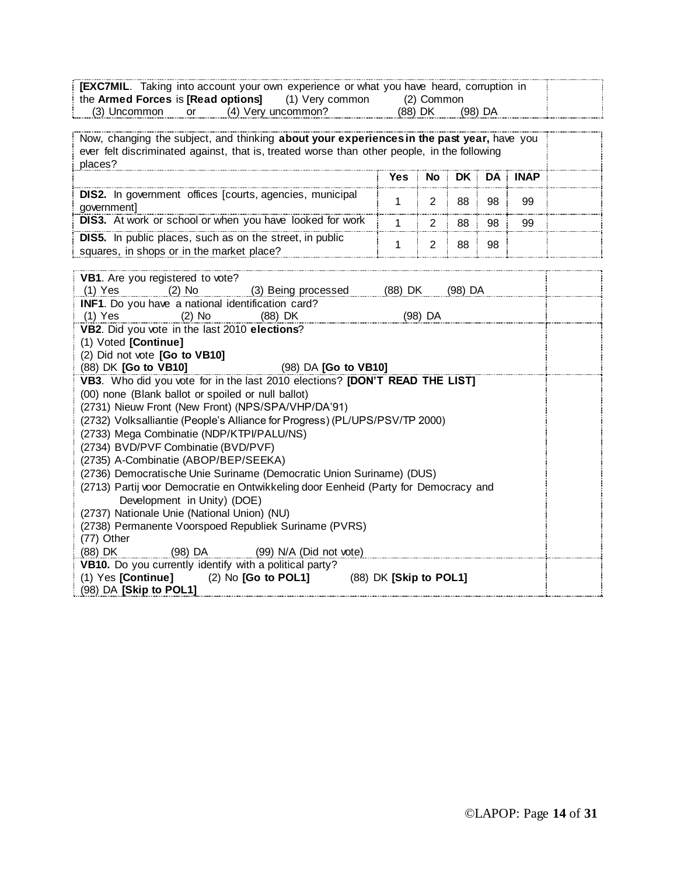|                                                                  |     |                    | <b>[EXC7MIL.</b> Taking into account your own experience or what you have heard, corruption in |         |  |
|------------------------------------------------------------------|-----|--------------------|------------------------------------------------------------------------------------------------|---------|--|
| the <b>Armed Forces</b> is <b>[Read options]</b> (1) Very common |     |                    | (2) Common                                                                                     |         |  |
| (3) Uncommon                                                     | .or | (4) Very uncommon? | (88) DK                                                                                        | (98) DA |  |

Now, changing the subject, and thinking **about your experiences in the past year,** have you ever felt discriminated against, that is, treated worse than other people, in the following places? **Yes No DK DA INAP DIS2.** In government offices [courts, agencies, municipal  $\begin{array}{|c|c|c|c|c|}\n\hline\n\text{goverment} & 2 & 88 & 98 & 99\n\end{array}$ **DIS3.** At work or school or when you have looked for work 1 2 88 98 99 **DIS5.** In public places, such as on the street, in public squares, in shops or in the market place? <sup>1</sup> <sup>2</sup> <sup>88</sup> <sup>98</sup>

| VB1. Are you registered to vote?                                                    |  |  |  |  |  |  |  |  |  |  |  |
|-------------------------------------------------------------------------------------|--|--|--|--|--|--|--|--|--|--|--|
| (1) Yes (2) No (3) Being processed (88) DK (98) DA                                  |  |  |  |  |  |  |  |  |  |  |  |
| INF1. Do you have a national identification card?                                   |  |  |  |  |  |  |  |  |  |  |  |
| (1) Yes (2) No (88) DK<br>(98) DA                                                   |  |  |  |  |  |  |  |  |  |  |  |
| VB2. Did you vote in the last 2010 elections?                                       |  |  |  |  |  |  |  |  |  |  |  |
| (1) Voted [Continue]                                                                |  |  |  |  |  |  |  |  |  |  |  |
| (2) Did not vote [Go to VB10]                                                       |  |  |  |  |  |  |  |  |  |  |  |
| (98) DA <b>[Go to VB10]</b><br>$(88)$ DK $\overline{G}$ to VB10                     |  |  |  |  |  |  |  |  |  |  |  |
| VB3. Who did you vote for in the last 2010 elections? [DON'T READ THE LIST]         |  |  |  |  |  |  |  |  |  |  |  |
| (00) none (Blank ballot or spoiled or null ballot)                                  |  |  |  |  |  |  |  |  |  |  |  |
| (2731) Nieuw Front (New Front) (NPS/SPA/VHP/DA'91)                                  |  |  |  |  |  |  |  |  |  |  |  |
| (2732) Volksalliantie (People's Alliance for Progress) (PL/UPS/PSV/TP 2000)         |  |  |  |  |  |  |  |  |  |  |  |
| (2733) Mega Combinatie (NDP/KTPI/PALU/NS)                                           |  |  |  |  |  |  |  |  |  |  |  |
| (2734) BVD/PVF Combinatie (BVD/PVF)                                                 |  |  |  |  |  |  |  |  |  |  |  |
| (2735) A-Combinatie (ABOP/BEP/SEEKA)                                                |  |  |  |  |  |  |  |  |  |  |  |
| (2736) Democratische Unie Suriname (Democratic Union Suriname) (DUS)                |  |  |  |  |  |  |  |  |  |  |  |
| (2713) Partij voor Democratie en Ontwikkeling door Eenheid (Party for Democracy and |  |  |  |  |  |  |  |  |  |  |  |
| Development in Unity) (DOE)                                                         |  |  |  |  |  |  |  |  |  |  |  |
| (2737) Nationale Unie (National Union) (NU)                                         |  |  |  |  |  |  |  |  |  |  |  |
| (2738) Permanente Voorspoed Republiek Suriname (PVRS)                               |  |  |  |  |  |  |  |  |  |  |  |
| (77) Other                                                                          |  |  |  |  |  |  |  |  |  |  |  |
| (88) DK (98) DA (99) N/A (Did not vote)                                             |  |  |  |  |  |  |  |  |  |  |  |
| VB10. Do you currently identify with a political party?                             |  |  |  |  |  |  |  |  |  |  |  |
| (1) Yes [Continue] $(2)$ No [Go to POL1] $(88)$ DK [Skip to POL1]                   |  |  |  |  |  |  |  |  |  |  |  |
| $(98)$ DA $[Skip$ to POL1]                                                          |  |  |  |  |  |  |  |  |  |  |  |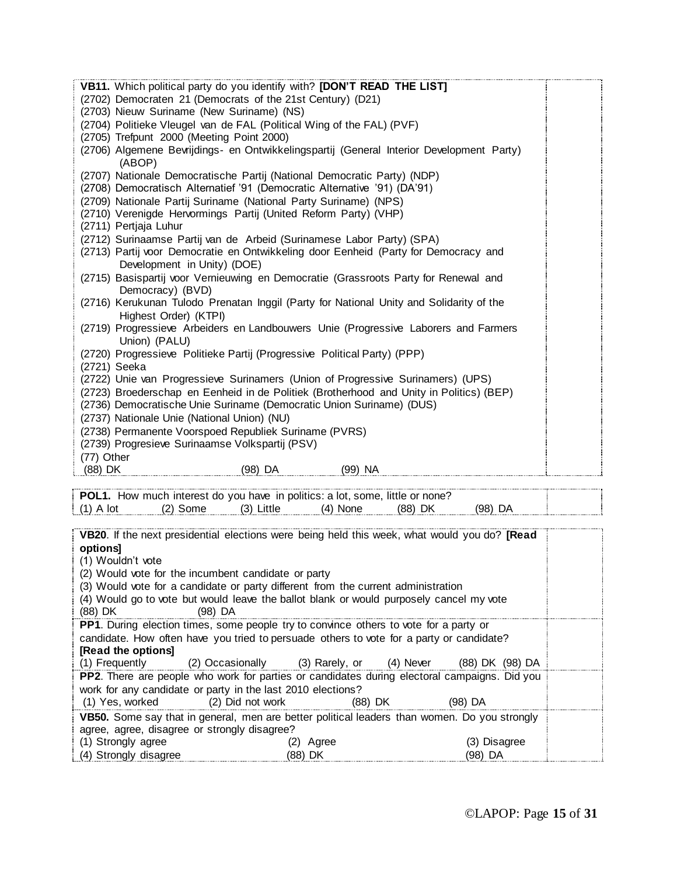| VB11. Which political party do you identify with? [DON'T READ THE LIST]                              |  |
|------------------------------------------------------------------------------------------------------|--|
| (2702) Democraten 21 (Democrats of the 21st Century) (D21)                                           |  |
| (2703) Nieuw Suriname (New Suriname) (NS)                                                            |  |
| (2704) Politieke Vleugel van de FAL (Political Wing of the FAL) (PVF)                                |  |
| (2705) Trefpunt 2000 (Meeting Point 2000)                                                            |  |
| (2706) Algemene Bevrijdings- en Ontwikkelingspartij (General Interior Development Party)<br>(ABOP)   |  |
| (2707) Nationale Democratische Partij (National Democratic Party) (NDP)                              |  |
| (2708) Democratisch Alternatief '91 (Democratic Alternative '91) (DA'91)                             |  |
| (2709) Nationale Partij Suriname (National Party Suriname) (NPS)                                     |  |
| (2710) Verenigde Hervormings Partij (United Reform Party) (VHP)                                      |  |
| (2711) Pertjaja Luhur                                                                                |  |
| (2712) Surinaamse Partij van de Arbeid (Surinamese Labor Party) (SPA)                                |  |
| (2713) Partij voor Democratie en Ontwikkeling door Eenheid (Party for Democracy and                  |  |
| Development in Unity) (DOE)                                                                          |  |
| (2715) Basispartij voor Vernieuwing en Democratie (Grassroots Party for Renewal and                  |  |
| Democracy) (BVD)                                                                                     |  |
| (2716) Kerukunan Tulodo Prenatan Inggil (Party for National Unity and Solidarity of the              |  |
| Highest Order) (KTPI)                                                                                |  |
| (2719) Progressieve Arbeiders en Landbouwers Unie (Progressive Laborers and Farmers<br>Union) (PALU) |  |
| (2720) Progressieve Politieke Partij (Progressive Political Party) (PPP)                             |  |
| (2721) Seeka                                                                                         |  |
| (2722) Unie van Progressieve Surinamers (Union of Progressive Surinamers) (UPS)                      |  |
| (2723) Broederschap en Eenheid in de Politiek (Brotherhood and Unity in Politics) (BEP)              |  |
| (2736) Democratische Unie Suriname (Democratic Union Suriname) (DUS)                                 |  |
| (2737) Nationale Unie (National Union) (NU)                                                          |  |
| (2738) Permanente Voorspoed Republiek Suriname (PVRS)                                                |  |
| (2739) Progresieve Surinaamse Volkspartij (PSV)                                                      |  |
| (77) Other                                                                                           |  |
| (99) NA<br>(88) DK<br>(98) DA                                                                        |  |

| HOW. | much | interest do you have in politics: a lot, some, little or none? | .<br>.<br>. | . |  |
|------|------|----------------------------------------------------------------|-------------|---|--|
|      |      |                                                                | nk          |   |  |

| VB20. If the next presidential elections were being held this week, what would you do? [Read<br>options] |           |              |  |  |  |  |  |  |  |
|----------------------------------------------------------------------------------------------------------|-----------|--------------|--|--|--|--|--|--|--|
| (1) Wouldn't vote                                                                                        |           |              |  |  |  |  |  |  |  |
| (2) Would vote for the incumbent candidate or party                                                      |           |              |  |  |  |  |  |  |  |
| (3) Would vote for a candidate or party different from the current administration                        |           |              |  |  |  |  |  |  |  |
| (4) Would go to vote but would leave the ballot blank or would purposely cancel my vote                  |           |              |  |  |  |  |  |  |  |
| (88) DK<br>$(98)$ DA                                                                                     |           |              |  |  |  |  |  |  |  |
| <b>PP1.</b> During election times, some people try to convince others to vote for a party or             |           |              |  |  |  |  |  |  |  |
| candidate. How often have you tried to persuade others to vote for a party or candidate?                 |           |              |  |  |  |  |  |  |  |
| [Read the options]                                                                                       |           |              |  |  |  |  |  |  |  |
| (1) Frequently (2) Occasionally (3) Rarely, or (4) Never (88) DK (98) DA                                 |           |              |  |  |  |  |  |  |  |
| <b>PP2.</b> There are people who work for parties or candidates during electoral campaigns. Did you      |           |              |  |  |  |  |  |  |  |
| work for any candidate or party in the last 2010 elections?                                              |           |              |  |  |  |  |  |  |  |
| (1) Yes, worked (2) Did not work (88) DK                                                                 |           | (98) DA      |  |  |  |  |  |  |  |
| VB50. Some say that in general, men are better political leaders than women. Do you strongly             |           |              |  |  |  |  |  |  |  |
| agree, agree, disagree or strongly disagree?                                                             |           |              |  |  |  |  |  |  |  |
| (1) Strongly agree                                                                                       | (2) Agree | (3) Disagree |  |  |  |  |  |  |  |
| (4) Strongly disagree                                                                                    | (88) DK   | (98) DA      |  |  |  |  |  |  |  |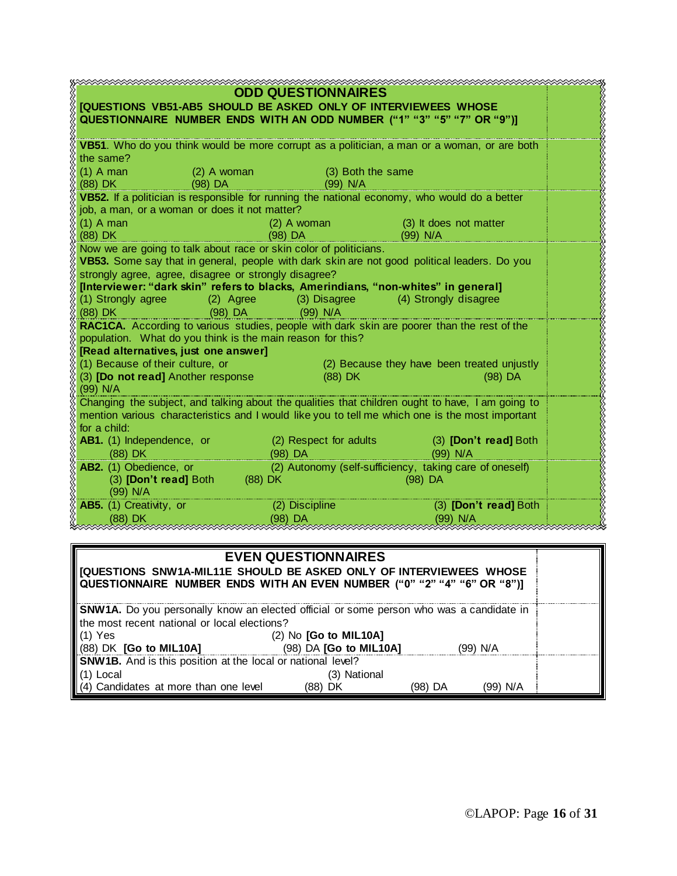| <b>ODD QUESTIONNAIRES</b><br><b>[QUESTIONS VB51-AB5 SHOULD BE ASKED ONLY OF INTERVIEWEES WHOSE</b><br>QUESTIONNAIRE NUMBER ENDS WITH AN ODD NUMBER ("1" "3" "5" "7" OR "9")] |                                                         |                                             |  |  |  |  |  |  |
|------------------------------------------------------------------------------------------------------------------------------------------------------------------------------|---------------------------------------------------------|---------------------------------------------|--|--|--|--|--|--|
| VB51. Who do you think would be more corrupt as a politician, a man or a woman, or are both                                                                                  |                                                         |                                             |  |  |  |  |  |  |
| the same?<br>$(1)$ A man<br>(2) A woman                                                                                                                                      | (3) Both the same                                       |                                             |  |  |  |  |  |  |
| $(88)$ DK and $(88)$<br>$(98)$ DA                                                                                                                                            | <u> 1999 - Jan Jawa Barat, pre</u><br>$(99)$ N/A        |                                             |  |  |  |  |  |  |
| VB52. If a politician is responsible for running the national economy, who would do a better                                                                                 |                                                         |                                             |  |  |  |  |  |  |
| job, a man, or a woman or does it not matter?<br>$(1)$ A man                                                                                                                 |                                                         | (3) It does not matter                      |  |  |  |  |  |  |
| (88) DK                                                                                                                                                                      | $(2)$ A woman<br>(98) DA<br>$(99)$ N/A                  |                                             |  |  |  |  |  |  |
| Now we are going to talk about race or skin color of politicians.                                                                                                            |                                                         |                                             |  |  |  |  |  |  |
| VB53. Some say that in general, people with dark skin are not good political leaders. Do you<br>strongly agree, agree, disagree or strongly disagree?                        |                                                         |                                             |  |  |  |  |  |  |
| [Interviewer: "dark skin" refers to blacks, Amerindians, "non-whites" in general]                                                                                            |                                                         |                                             |  |  |  |  |  |  |
| (1) Strongly agree (2) Agree (3) Disagree (4) Strongly disagree                                                                                                              |                                                         |                                             |  |  |  |  |  |  |
| (88) DK                                                                                                                                                                      | $(98)$ DA $(99)$ N/A                                    |                                             |  |  |  |  |  |  |
| RAC1CA. According to various studies, people with dark skin are poorer than the rest of the<br>population. What do you think is the main reason for this?                    |                                                         |                                             |  |  |  |  |  |  |
| [Read alternatives, just one answer]                                                                                                                                         |                                                         |                                             |  |  |  |  |  |  |
| (1) Because of their culture, or                                                                                                                                             |                                                         | (2) Because they have been treated unjustly |  |  |  |  |  |  |
| (3) [Do not read] Another response<br>$(99)$ N/A                                                                                                                             | $(88)$ DK                                               | $(98)$ DA                                   |  |  |  |  |  |  |
| Changing the subject, and talking about the qualities that children ought to have, I am going to                                                                             |                                                         |                                             |  |  |  |  |  |  |
| mention various characteristics and I would like you to tell me which one is the most important                                                                              |                                                         |                                             |  |  |  |  |  |  |
| for a child:<br><b>AB1.</b> (1) Independence, or (2) Respect for adults (3) [Don't read] Both                                                                                |                                                         |                                             |  |  |  |  |  |  |
| $(88)$ DK                                                                                                                                                                    | $(98)$ DA                                               | $(99)$ N/A                                  |  |  |  |  |  |  |
| AB2. (1) Obedience, or                                                                                                                                                       | (2) Autonomy (self-sufficiency, taking care of oneself) |                                             |  |  |  |  |  |  |
| (3) <b>[Don't read]</b> Both (88) DK<br>(99) N/A                                                                                                                             |                                                         | $(98)$ DA                                   |  |  |  |  |  |  |
| AB5. (1) Creativity, or                                                                                                                                                      | (2) Discipline                                          | (3) [Don't read] Both                       |  |  |  |  |  |  |
| (88) DK                                                                                                                                                                      | (98) DA                                                 | (99) N/A                                    |  |  |  |  |  |  |

| <b>EVEN QUESTIONNAIRES</b>                                                              |                               |         |          |  |  |  |  |  |  |
|-----------------------------------------------------------------------------------------|-------------------------------|---------|----------|--|--|--|--|--|--|
| QUESTIONS SNW1A-MIL11E SHOULD BE ASKED ONLY OF INTERVIEWEES WHOSE                       |                               |         |          |  |  |  |  |  |  |
| <b>QUESTIONNAIRE NUMBER ENDS WITH AN EVEN NUMBER ("0" "2" "4" "6" OR "8")]</b>          |                               |         |          |  |  |  |  |  |  |
| SNW1A. Do you personally know an elected official or some person who was a candidate in |                               |         |          |  |  |  |  |  |  |
| the most recent national or local elections?                                            |                               |         |          |  |  |  |  |  |  |
| $(1)$ Yes                                                                               | $(2)$ No $[Go$ to MIL10A]     |         |          |  |  |  |  |  |  |
| (88) DK [Go to MIL10A]                                                                  | (98) DA <b>[Go to MIL10A]</b> |         | (99) N/A |  |  |  |  |  |  |
| SNW1B. And is this position at the local or national level?                             |                               |         |          |  |  |  |  |  |  |
| $\parallel$ (1) Local                                                                   | (3) National                  |         |          |  |  |  |  |  |  |
| $(4)$ Candidates at more than one level                                                 | (88) DK                       | (98) DA | (99) N/A |  |  |  |  |  |  |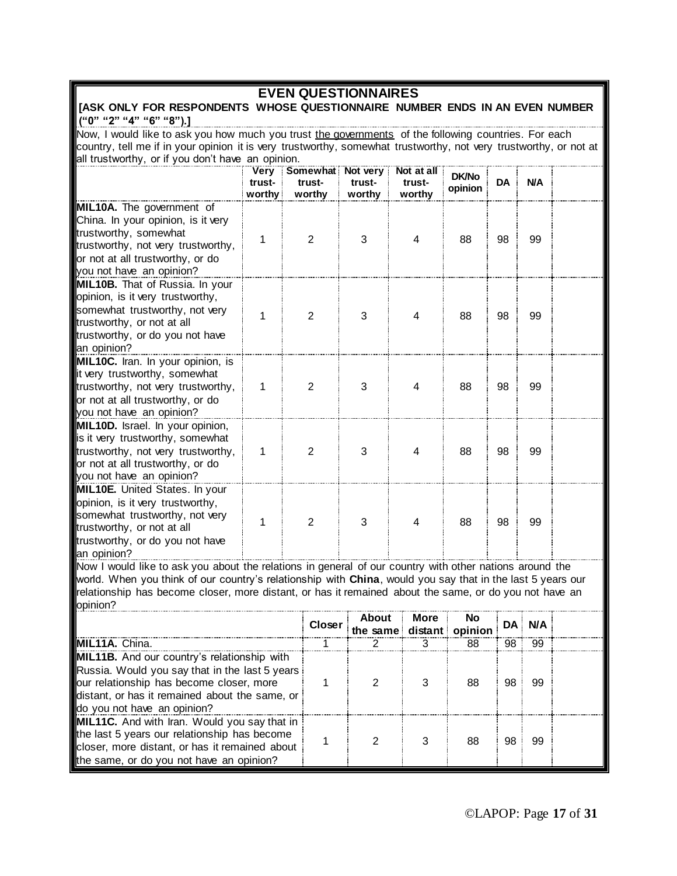### **EVEN QUESTIONNAIRES**

#### **[ASK ONLY FOR RESPONDENTS WHOSE QUESTIONNAIRE NUMBER ENDS IN AN EVEN NUMBER ("0" "2" "4" "6" "8").]**

Now, I would like to ask you how much you trust the governments of the following countries. For each country, tell me if in your opinion it is very trustworthy, somewhat trustworthy, not very trustworthy, or not at all trustworthy, or if you don't have an opinion.

|                                                                                                                                                                                                | trust-<br>worthy | Very Somewhat Not very<br>trust-<br>worthy | trust-<br>worthy | Not at all<br>trust-<br>worthy | <b>DK/No</b><br>opinion | <b>DA</b> | <b>N/A</b> |  |
|------------------------------------------------------------------------------------------------------------------------------------------------------------------------------------------------|------------------|--------------------------------------------|------------------|--------------------------------|-------------------------|-----------|------------|--|
| MIL10A. The government of<br>China. In your opinion, is it very<br>trustworthy, somewhat<br>trustworthy, not very trustworthy,<br>or not at all trustworthy, or do<br>you not have an opinion? | 1                | $\overline{2}$                             | 3                | 4                              | 88                      | 98        | 99         |  |
| <b>MIL10B.</b> That of Russia. In your<br>opinion, is it very trustworthy,<br>somewhat trustworthy, not very<br>trustworthy, or not at all<br>trustworthy, or do you not have<br>an opinion?   | 1                | $\overline{2}$                             | 3                | 4                              | 88                      | 98        | 99         |  |
| MIL10C. Iran. In your opinion, is<br>it very trustworthy, somewhat<br>trustworthy, not very trustworthy,<br>or not at all trustworthy, or do<br>you not have an opinion?                       | $\mathbf{1}$     | $\overline{2}$                             | 3                | 4                              | 88                      | 98        | 99         |  |
| MIL10D. Israel. In your opinion,<br>is it very trustworthy, somewhat<br>trustworthy, not very trustworthy,<br>or not at all trustworthy, or do<br>you not have an opinion?                     | $\mathbf{1}$     | $\overline{2}$                             | 3                | 4                              | 88                      | 98        | 99         |  |
| <b>MIL10E.</b> United States. In your<br>opinion, is it very trustworthy,<br>somewhat trustworthy, not very<br>trustworthy, or not at all<br>trustworthy, or do you not have<br>an opinion?    | $\mathbf{1}$     | $\overline{2}$                             | 3                | $\overline{\mathbf{4}}$        | 88                      | 98        | 99         |  |

Now I would like to ask you about the relations in general of our country with other nations around the world. When you think of our country's relationship with **China**, would you say that in the last 5 years our relationship has become closer, more distant, or has it remained about the same, or do you not have an opinion?

|                                                                                                                                                                                                   | Closer | <b>About</b><br>the same distant opinion | More | No |    | DA N/A |  |
|---------------------------------------------------------------------------------------------------------------------------------------------------------------------------------------------------|--------|------------------------------------------|------|----|----|--------|--|
| <b>IMIL11A.</b> China.                                                                                                                                                                            |        |                                          |      | 88 | 98 | 99     |  |
| <b>MIL11B.</b> And our country's relationship with                                                                                                                                                |        |                                          |      |    |    |        |  |
| Russia. Would you say that in the last 5 years<br>our relationship has become closer, more<br>distant, or has it remained about the same, or<br>do you not have an opinion?                       |        |                                          |      | 88 | 98 | 99     |  |
| <b>MIL11C.</b> And with Iran. Would you say that in<br>the last 5 years our relationship has become<br>closer, more distant, or has it remained about<br>the same, or do you not have an opinion? |        |                                          | З    | 88 | 98 | 99     |  |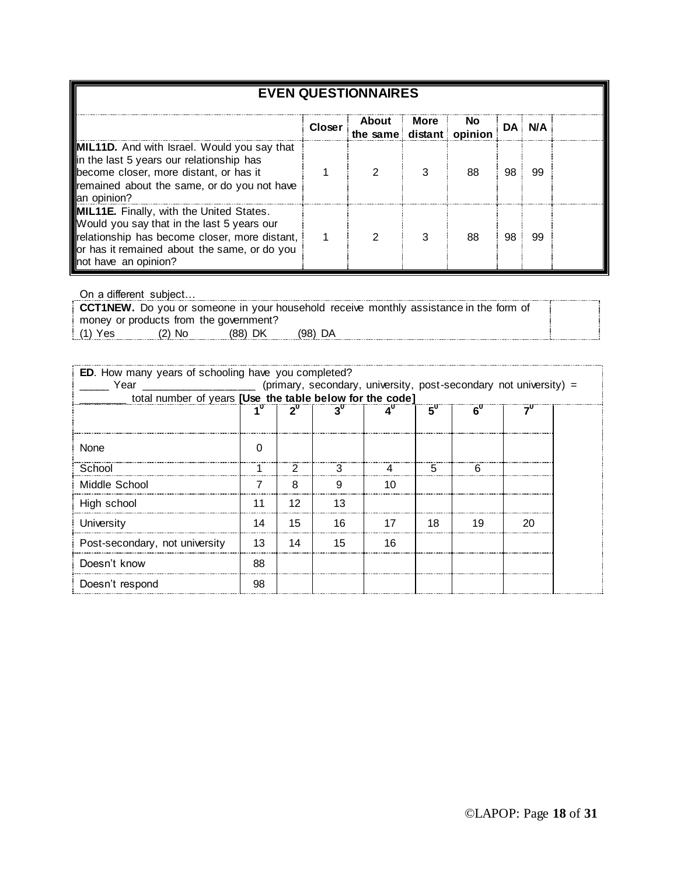| <b>EVEN QUESTIONNAIRES</b>                                                                                                                                                                                             |        |                                     |      |           |           |            |  |  |  |  |  |
|------------------------------------------------------------------------------------------------------------------------------------------------------------------------------------------------------------------------|--------|-------------------------------------|------|-----------|-----------|------------|--|--|--|--|--|
|                                                                                                                                                                                                                        | Closer | About i<br>the same distant opinion | More | <b>No</b> | <b>DA</b> | <b>N/A</b> |  |  |  |  |  |
| <b>MIL11D.</b> And with Israel. Would you say that<br>in the last 5 years our relationship has<br>become closer, more distant, or has it<br>remained about the same, or do you not have<br>an opinion?                 |        |                                     |      | 88        | 98        | 99         |  |  |  |  |  |
| <b>MIL11E.</b> Finally, with the United States.<br>Would you say that in the last 5 years our<br>relationship has become closer, more distant,<br>or has it remained about the same, or do you<br>not have an opinion? |        |                                     | З    | 88        | 98        | 99         |  |  |  |  |  |

On a different subject…

|                                        |        |         |           |  |  | <b>CCT1NEW.</b> Do you or someone in your household receive monthly assistance in the form of |  |  |  |
|----------------------------------------|--------|---------|-----------|--|--|-----------------------------------------------------------------------------------------------|--|--|--|
| money or products from the government? |        |         |           |  |  |                                                                                               |  |  |  |
| (1) Yes                                | (2) No | (88) DK | $(98)$ DA |  |  |                                                                                               |  |  |  |

|    |    |    |                                                            | 5υ |                                                          |                                                                   |
|----|----|----|------------------------------------------------------------|----|----------------------------------------------------------|-------------------------------------------------------------------|
|    |    |    |                                                            |    |                                                          |                                                                   |
|    |    | 3  |                                                            | 5  | h                                                        |                                                                   |
|    | 8  | q  | 10                                                         |    |                                                          |                                                                   |
|    | 12 | 13 |                                                            |    |                                                          |                                                                   |
| 14 | 15 | 16 |                                                            | 18 | 19                                                       | 20                                                                |
| 13 | 14 | 15 | 16                                                         |    |                                                          |                                                                   |
| 88 |    |    |                                                            |    |                                                          |                                                                   |
| 98 |    |    |                                                            |    |                                                          |                                                                   |
|    |    |    | <b>ED.</b> How many years of schooling have you completed? |    | total number of years [Use the table below for the code] | (primary, secondary, university, post-secondary not university) = |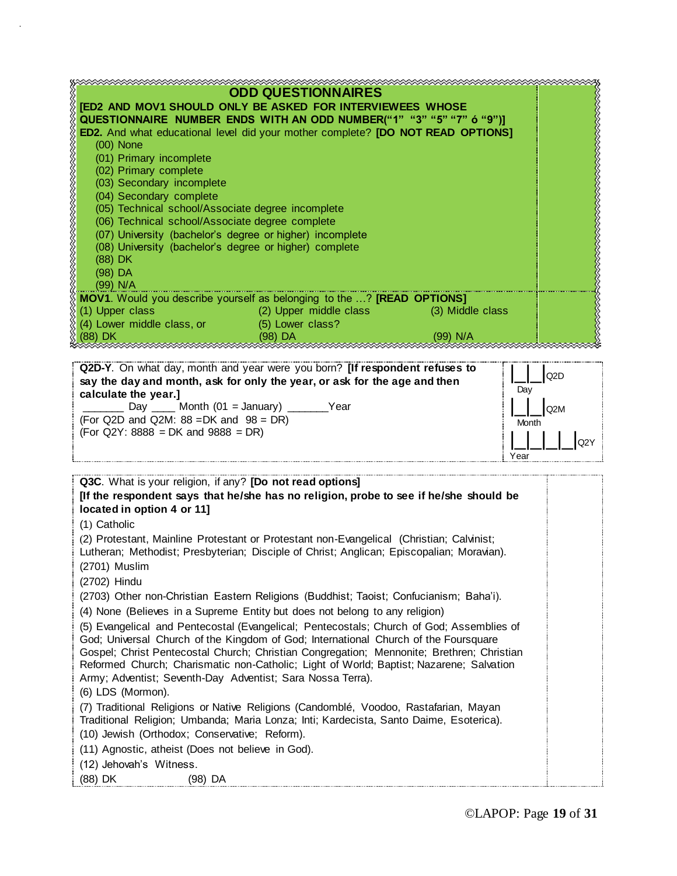|                                                                                               | <b>ODD QUESTIONNAIRES</b>               |          |  |
|-----------------------------------------------------------------------------------------------|-----------------------------------------|----------|--|
| <b>[ED2 AND MOV1 SHOULD ONLY BE ASKED FOR INTERVIEWEES WHOSE</b>                              |                                         |          |  |
| QUESTIONNAIRE NUMBER ENDS WITH AN ODD NUMBER("1" "3" "5" "7" ó "9")]                          |                                         |          |  |
| <b>ED2.</b> And what educational level did your mother complete? <b>[DO NOT READ OPTIONS]</b> |                                         |          |  |
| $(00)$ None                                                                                   |                                         |          |  |
| (01) Primary incomplete                                                                       |                                         |          |  |
| (02) Primary complete                                                                         |                                         |          |  |
| (03) Secondary incomplete                                                                     |                                         |          |  |
| (04) Secondary complete                                                                       |                                         |          |  |
| (05) Technical school/Associate degree incomplete                                             |                                         |          |  |
| (06) Technical school/Associate degree complete                                               |                                         |          |  |
| (07) University (bachelor's degree or higher) incomplete                                      |                                         |          |  |
| (08) University (bachelor's degree or higher) complete                                        |                                         |          |  |
| $(88)$ DK                                                                                     |                                         |          |  |
| $(98)$ DA                                                                                     |                                         |          |  |
| $(99)$ N/A                                                                                    |                                         |          |  |
| <b>MOV1.</b> Would you describe yourself as belonging to the ? <b>[READ OPTIONS]</b>          |                                         |          |  |
| (1) Upper class                                                                               | (2) Upper middle class (3) Middle class |          |  |
| (4) Lower middle class, or (5) Lower class?                                                   |                                         |          |  |
| (88) DK                                                                                       | (98) DA                                 | (99) N/A |  |

| Q2D-Y. On what day, month and year were you born? [If respondent refuses to<br>say the day and month, ask for only the year, or ask for the age and then<br>calculate the year. | Q2D<br>Dav |
|---------------------------------------------------------------------------------------------------------------------------------------------------------------------------------|------------|
| Day Month $(01 =$ January)                                                                                                                                                      | Q2M        |
| Year                                                                                                                                                                            | Month      |
| (For Q2D and Q2M: $88 = DK$ and $98 = DR$ )                                                                                                                                     | O2         |
| $(For Q2Y: 8888 = DK and 9888 = DR)$                                                                                                                                            | Year       |

| Q3C. What is your religion, if any? [Do not read options]<br>[If the respondent says that he/she has no religion, probe to see if he/she should be                                                                                                                           |  |
|------------------------------------------------------------------------------------------------------------------------------------------------------------------------------------------------------------------------------------------------------------------------------|--|
| located in option 4 or 11]                                                                                                                                                                                                                                                   |  |
| (1) Catholic                                                                                                                                                                                                                                                                 |  |
| (2) Protestant, Mainline Protestant or Protestant non-Evangelical (Christian; Calvinist;<br>Lutheran; Methodist; Presbyterian; Disciple of Christ; Anglican; Episcopalian; Moravian).                                                                                        |  |
| $(2701)$ Muslim                                                                                                                                                                                                                                                              |  |
| (2702) Hindu                                                                                                                                                                                                                                                                 |  |
| (2703) Other non-Christian Eastern Religions (Buddhist; Taoist; Confucianism; Baha'i).                                                                                                                                                                                       |  |
| (4) None (Believes in a Supreme Entity but does not belong to any religion)                                                                                                                                                                                                  |  |
| (5) Evangelical and Pentecostal (Evangelical; Pentecostals; Church of God; Assemblies of<br>God; Universal Church of the Kingdom of God; International Church of the Foursquare<br>Gospel; Christ Pentecostal Church; Christian Congregation; Mennonite; Brethren; Christian |  |
| Reformed Church; Charismatic non-Catholic; Light of World; Baptist; Nazarene; Salvation<br>Army; Adventist; Seventh-Day Adventist; Sara Nossa Terra).                                                                                                                        |  |
| (6) LDS (Mormon).                                                                                                                                                                                                                                                            |  |
| (7) Traditional Religions or Native Religions (Candomblé, Voodoo, Rastafarian, Mayan<br>Traditional Religion; Umbanda; Maria Lonza; Inti; Kardecista, Santo Daime, Esoterica).                                                                                               |  |
| (10) Jewish (Orthodox; Conservative; Reform).                                                                                                                                                                                                                                |  |
| (11) Agnostic, atheist (Does not believe in God).                                                                                                                                                                                                                            |  |
| (12) Jehovah's Witness.                                                                                                                                                                                                                                                      |  |
| (88) DK<br>(98) DA                                                                                                                                                                                                                                                           |  |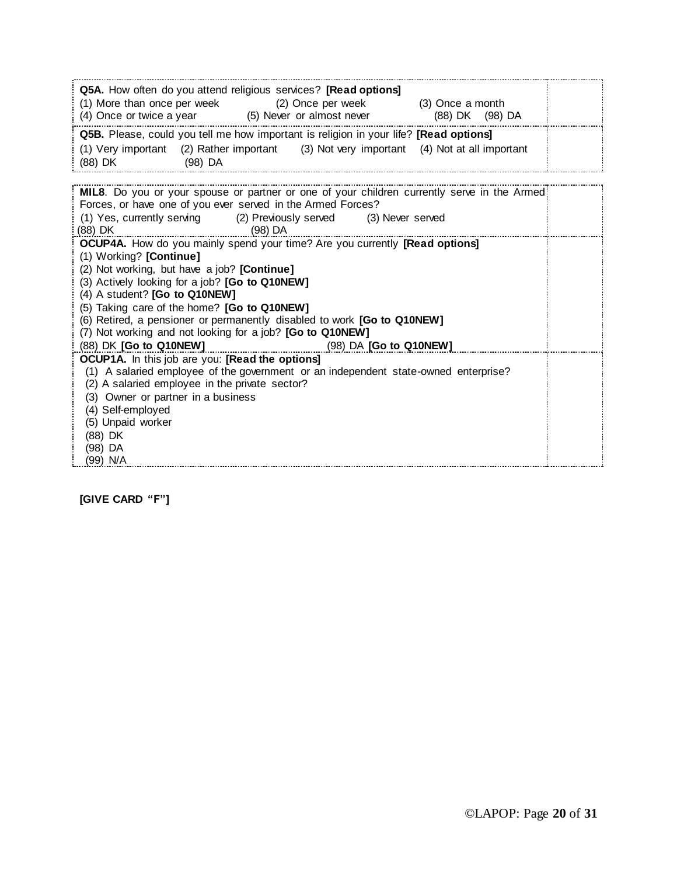| Q5A. How often do you attend religious services? [Read options]<br>(1) More than once per week (2) Once per week (3) Once a month                                                                                                                                                                                                                                                                                                                         |  |
|-----------------------------------------------------------------------------------------------------------------------------------------------------------------------------------------------------------------------------------------------------------------------------------------------------------------------------------------------------------------------------------------------------------------------------------------------------------|--|
| (4) Once or twice a year (5) Never or almost never (88) DK (98) DA                                                                                                                                                                                                                                                                                                                                                                                        |  |
| Q5B. Please, could you tell me how important is religion in your life? [Read options]                                                                                                                                                                                                                                                                                                                                                                     |  |
| (1) Very important (2) Rather important (3) Not very important (4) Not at all important<br>(88) DK (98) DA                                                                                                                                                                                                                                                                                                                                                |  |
|                                                                                                                                                                                                                                                                                                                                                                                                                                                           |  |
| MIL8. Do you or your spouse or partner or one of your children currently serve in the Armed!<br>Forces, or have one of you ever served in the Armed Forces?                                                                                                                                                                                                                                                                                               |  |
| (1) Yes, currently serving (2) Previously served (3) Never served                                                                                                                                                                                                                                                                                                                                                                                         |  |
| <u>(88) DK (88) DK (88) DA (</u>                                                                                                                                                                                                                                                                                                                                                                                                                          |  |
| OCUP4A. How do you mainly spend your time? Are you currently [Read options]<br>(1) Working? [Continue]<br>(2) Not working, but have a job? [Continue]<br>(3) Actively looking for a job? [Go to Q10NEW]<br>(4) A student? [Go to Q10NEW]<br>(5) Taking care of the home? [Go to Q10NEW]<br>(6) Retired, a pensioner or permanently disabled to work [Go to Q10NEW]<br>(7) Not working and not looking for a job? [Go to Q10NEW]<br>(88) DK [Go to Q10NEW] |  |
| <b>OCUP1A.</b> In this job are you: [Read the options]<br>(1) A salaried employee of the government or an independent state-owned enterprise?<br>(2) A salaried employee in the private sector?<br>(3) Owner or partner in a business<br>(4) Self-employed<br>(5) Unpaid worker<br>(88) DK<br>(98) DA<br>(99) N/A                                                                                                                                         |  |

**[GIVE CARD "F"]**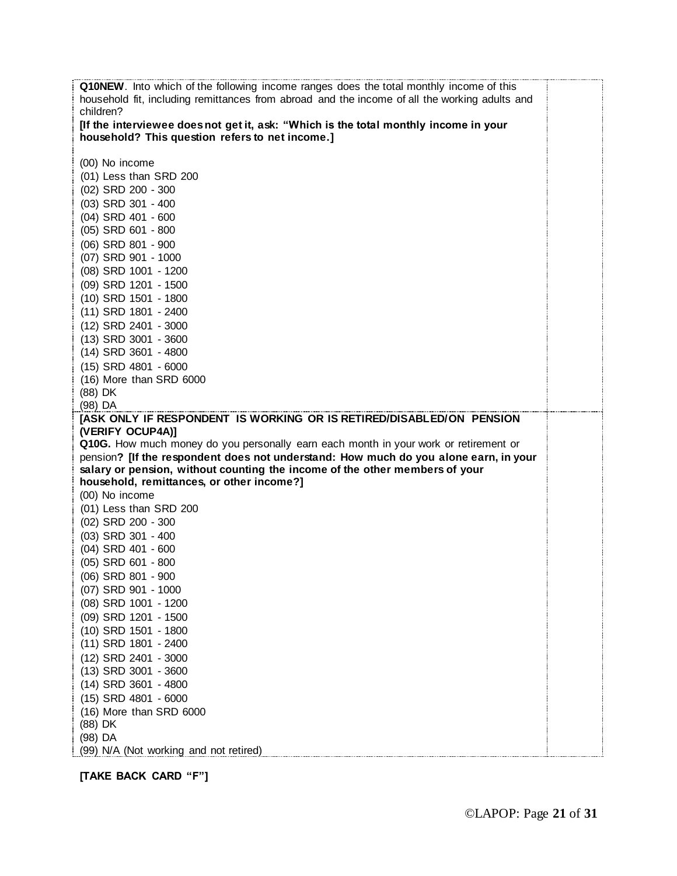| <b>Q10NEW</b> . Into which of the following income ranges does the total monthly income of this |  |
|-------------------------------------------------------------------------------------------------|--|
| household fit, including remittances from abroad and the income of all the working adults and   |  |
| children?                                                                                       |  |
| [If the interviewee does not get it, ask: "Which is the total monthly income in your            |  |
| household? This question refers to net income.]                                                 |  |
|                                                                                                 |  |
| (00) No income                                                                                  |  |
|                                                                                                 |  |
| (01) Less than SRD 200                                                                          |  |
| (02) SRD 200 - 300                                                                              |  |
| (03) SRD 301 - 400                                                                              |  |
| (04) SRD 401 - 600                                                                              |  |
| (05) SRD 601 - 800                                                                              |  |
| (06) SRD 801 - 900                                                                              |  |
| (07) SRD 901 - 1000                                                                             |  |
| (08) SRD 1001 - 1200                                                                            |  |
| (09) SRD 1201 - 1500                                                                            |  |
| (10) SRD 1501 - 1800                                                                            |  |
| (11) SRD 1801 - 2400                                                                            |  |
| (12) SRD 2401 - 3000                                                                            |  |
| (13) SRD 3001 - 3600                                                                            |  |
| (14) SRD 3601 - 4800                                                                            |  |
| (15) SRD 4801 - 6000                                                                            |  |
|                                                                                                 |  |
| (16) More than SRD 6000                                                                         |  |
| (88) DK                                                                                         |  |
| (98) DA                                                                                         |  |
| [ASK ONLY IF RESPONDENT IS WORKING OR IS RETIRED/DISABLED/ON PENSION                            |  |
| (VERIFY OCUP4A)]                                                                                |  |
| Q10G. How much money do you personally earn each month in your work or retirement or            |  |
| pension? [If the respondent does not understand: How much do you alone earn, in your            |  |
| salary or pension, without counting the income of the other members of your                     |  |
|                                                                                                 |  |
| household, remittances, or other income?]                                                       |  |
| (00) No income                                                                                  |  |
| (01) Less than SRD 200                                                                          |  |
| (02) SRD 200 - 300                                                                              |  |
| (03) SRD 301 - 400                                                                              |  |
| (04) SRD 401 - 600                                                                              |  |
| (05) SRD 601 - 800                                                                              |  |
| (06) SRD 801 - 900                                                                              |  |
| (07) SRD 901 - 1000                                                                             |  |
| (08) SRD 1001 - 1200                                                                            |  |
| (09) SRD 1201 - 1500                                                                            |  |
|                                                                                                 |  |
| (10) SRD 1501 - 1800                                                                            |  |
| (11) SRD 1801 - 2400                                                                            |  |
| (12) SRD 2401 - 3000                                                                            |  |
| (13) SRD 3001 - 3600                                                                            |  |
| (14) SRD 3601 - 4800                                                                            |  |
| (15) SRD 4801 - 6000                                                                            |  |
| (16) More than SRD 6000                                                                         |  |
| (88) DK                                                                                         |  |
| (98) DA<br>(99) N/A (Not working and not retired)                                               |  |

**[TAKE BACK CARD "F"]**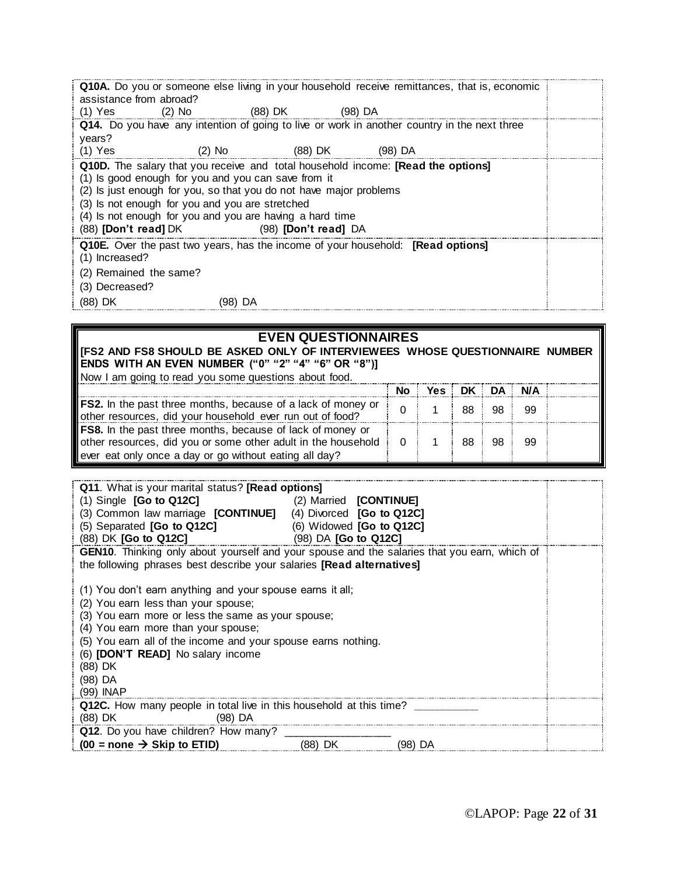| assistance from abroad? |                                                                                                        |                                                                                                                                                                                                                                                                               | Q10A. Do you or someone else living in your household receive remittances, that is, economic |  |
|-------------------------|--------------------------------------------------------------------------------------------------------|-------------------------------------------------------------------------------------------------------------------------------------------------------------------------------------------------------------------------------------------------------------------------------|----------------------------------------------------------------------------------------------|--|
| $(1)$ Yes $(2)$ No      |                                                                                                        | (88) DK (98) DA                                                                                                                                                                                                                                                               |                                                                                              |  |
|                         |                                                                                                        |                                                                                                                                                                                                                                                                               | Q14. Do you have any intention of going to live or work in another country in the next three |  |
| years?                  |                                                                                                        |                                                                                                                                                                                                                                                                               |                                                                                              |  |
| $(1)$ Yes               |                                                                                                        | (2) No                        (88) DK                    (98) DA                                                                                                                                                                                                              |                                                                                              |  |
|                         | (1) Is good enough for you and you can save from it<br>(3) Is not enough for you and you are stretched | Q10D. The salary that you receive and total household income: [Read the options]<br>(2) Is just enough for you, so that you do not have major problems<br>(4) Is not enough for you and you are having a hard time<br>(88) <b>[Don't read]</b> DK (98) <b>[Don't read]</b> DA |                                                                                              |  |
| (1) Increased?          |                                                                                                        | <b>Q10E.</b> Over the past two years, has the income of your household: <b>[Read options]</b>                                                                                                                                                                                 |                                                                                              |  |
| (2) Remained the same?  |                                                                                                        |                                                                                                                                                                                                                                                                               |                                                                                              |  |
| (3) Decreased?          |                                                                                                        |                                                                                                                                                                                                                                                                               |                                                                                              |  |
| (88) DK                 | (98) DA                                                                                                |                                                                                                                                                                                                                                                                               |                                                                                              |  |

#### **EVEN QUESTIONNAIRES**

**[FS2 AND FS8 SHOULD BE ASKED ONLY OF INTERVIEWEES WHOSE QUESTIONNAIRE NUMBER ENDS WITH AN EVEN NUMBER ("0" "2" "4" "6" OR "8")]** Now I am going to read you some questions about food.

| Then I am going to road you completed to about 100d.                                                                                                                                         |          |                  |    |    |      |  |
|----------------------------------------------------------------------------------------------------------------------------------------------------------------------------------------------|----------|------------------|----|----|------|--|
|                                                                                                                                                                                              |          | No Yes DK DA N/A |    |    |      |  |
| <b>FS2.</b> In the past three months, because of a lack of money or<br>other resources, did your household ever run out of food?                                                             |          |                  | 88 | 98 | - 99 |  |
| <b>FS8.</b> In the past three months, because of lack of money or<br>other resources, did you or some other adult in the household<br>ever eat only once a day or go without eating all day? | $\Omega$ |                  | 88 | 98 | - 99 |  |

| <b>Q11.</b> What is your marital status? <b>[Read options]</b><br>$(1)$ Single $[Go$ to Q12C<br>(2) Married <b>[CONTINUE]</b><br>(3) Common law marriage [CONTINUE] (4) Divorced [Go to Q12C]<br>(5) Separated [Go to Q12C]<br>$(98)$ DA $[Go to Q12C]$<br>(88) DK [Go to Q12C] |  | (6) Widowed [Go to Q12C] |  |  |  |
|---------------------------------------------------------------------------------------------------------------------------------------------------------------------------------------------------------------------------------------------------------------------------------|--|--------------------------|--|--|--|
| <b>GEN10.</b> Thinking only about yourself and your spouse and the salaries that you earn, which of                                                                                                                                                                             |  |                          |  |  |  |
| the following phrases best describe your salaries <b>[Read alternatives]</b>                                                                                                                                                                                                    |  |                          |  |  |  |
| (1) You don't earn anything and your spouse earns it all;                                                                                                                                                                                                                       |  |                          |  |  |  |
| (2) You earn less than your spouse;                                                                                                                                                                                                                                             |  |                          |  |  |  |
| (3) You earn more or less the same as your spouse;                                                                                                                                                                                                                              |  |                          |  |  |  |
| (4) You earn more than your spouse;                                                                                                                                                                                                                                             |  |                          |  |  |  |
| (5) You earn all of the income and your spouse earns nothing.                                                                                                                                                                                                                   |  |                          |  |  |  |
| (6) <b>[DON'T READ]</b> No salary income                                                                                                                                                                                                                                        |  |                          |  |  |  |
| (88) DK                                                                                                                                                                                                                                                                         |  |                          |  |  |  |
| (98) DA                                                                                                                                                                                                                                                                         |  |                          |  |  |  |
| (99) INAP<br><b>Q12C.</b> How many people in total live in this household at this time?                                                                                                                                                                                         |  |                          |  |  |  |
| $(98)$ DA<br>(88) DK                                                                                                                                                                                                                                                            |  |                          |  |  |  |
| Q12. Do you have children? How many?                                                                                                                                                                                                                                            |  |                          |  |  |  |
| $(00 = none \rightarrow Skip to ETID)$ (88) DK (98) DA                                                                                                                                                                                                                          |  |                          |  |  |  |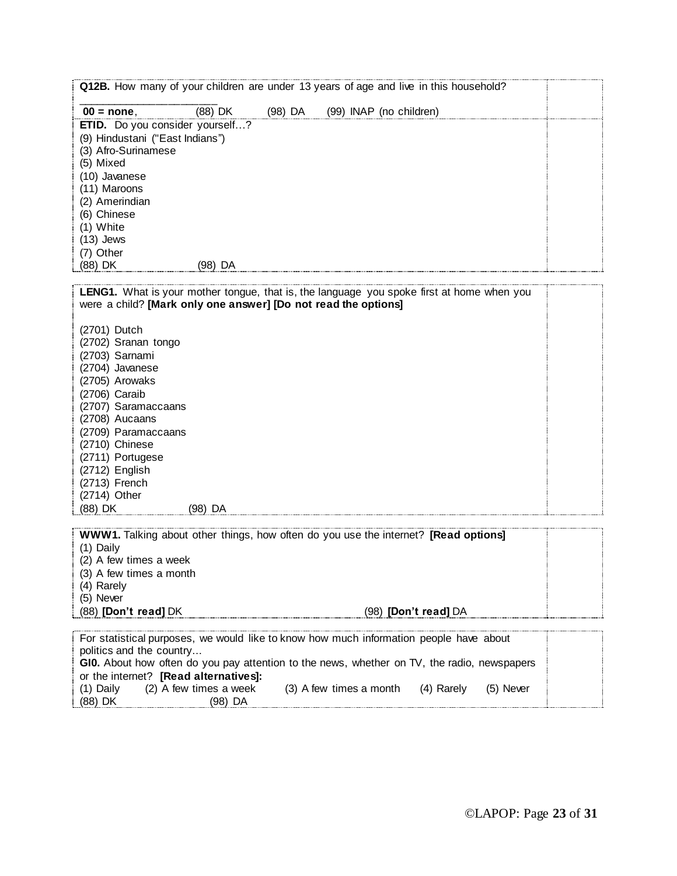| (88) DK<br>$00 = none$<br>(98) DA<br>(99) INAP (no children)<br>ETID. Do you consider yourself?<br>(9) Hindustani ("East Indians")<br>(3) Afro-Surinamese<br>(5) Mixed<br>(10) Javanese<br>(11) Maroons<br>(2) Amerindian<br>(6) Chinese<br>(1) White<br>$(13)$ Jews<br>(7) Other<br>(88) DK<br>(98) DA<br>LENG1. What is your mother tongue, that is, the language you spoke first at home when you<br>were a child? [Mark only one answer] [Do not read the options]<br>(2701) Dutch<br>(2702) Sranan tongo<br>(2703) Sarnami<br>(2704) Javanese<br>(2705) Arowaks<br>(2706) Caraib<br>(2707) Saramaccaans<br>(2708) Aucaans<br>(2709) Paramaccaans<br>(2710) Chinese<br>(2711) Portugese<br>(2712) English<br>(2713) French<br>(2714) Other<br>(88) DK<br>(98) DA<br><b>WWW1.</b> Talking about other things, how often do you use the internet? [Read options]<br>$(1)$ Daily<br>(2) A few times a week<br>(3) A few times a month |  | Q12B. How many of your children are under 13 years of age and live in this household? |  |
|----------------------------------------------------------------------------------------------------------------------------------------------------------------------------------------------------------------------------------------------------------------------------------------------------------------------------------------------------------------------------------------------------------------------------------------------------------------------------------------------------------------------------------------------------------------------------------------------------------------------------------------------------------------------------------------------------------------------------------------------------------------------------------------------------------------------------------------------------------------------------------------------------------------------------------------|--|---------------------------------------------------------------------------------------|--|
|                                                                                                                                                                                                                                                                                                                                                                                                                                                                                                                                                                                                                                                                                                                                                                                                                                                                                                                                        |  |                                                                                       |  |
|                                                                                                                                                                                                                                                                                                                                                                                                                                                                                                                                                                                                                                                                                                                                                                                                                                                                                                                                        |  |                                                                                       |  |
|                                                                                                                                                                                                                                                                                                                                                                                                                                                                                                                                                                                                                                                                                                                                                                                                                                                                                                                                        |  |                                                                                       |  |
|                                                                                                                                                                                                                                                                                                                                                                                                                                                                                                                                                                                                                                                                                                                                                                                                                                                                                                                                        |  |                                                                                       |  |
|                                                                                                                                                                                                                                                                                                                                                                                                                                                                                                                                                                                                                                                                                                                                                                                                                                                                                                                                        |  |                                                                                       |  |
|                                                                                                                                                                                                                                                                                                                                                                                                                                                                                                                                                                                                                                                                                                                                                                                                                                                                                                                                        |  |                                                                                       |  |
|                                                                                                                                                                                                                                                                                                                                                                                                                                                                                                                                                                                                                                                                                                                                                                                                                                                                                                                                        |  |                                                                                       |  |
|                                                                                                                                                                                                                                                                                                                                                                                                                                                                                                                                                                                                                                                                                                                                                                                                                                                                                                                                        |  |                                                                                       |  |
|                                                                                                                                                                                                                                                                                                                                                                                                                                                                                                                                                                                                                                                                                                                                                                                                                                                                                                                                        |  |                                                                                       |  |
|                                                                                                                                                                                                                                                                                                                                                                                                                                                                                                                                                                                                                                                                                                                                                                                                                                                                                                                                        |  |                                                                                       |  |
|                                                                                                                                                                                                                                                                                                                                                                                                                                                                                                                                                                                                                                                                                                                                                                                                                                                                                                                                        |  |                                                                                       |  |
|                                                                                                                                                                                                                                                                                                                                                                                                                                                                                                                                                                                                                                                                                                                                                                                                                                                                                                                                        |  |                                                                                       |  |
|                                                                                                                                                                                                                                                                                                                                                                                                                                                                                                                                                                                                                                                                                                                                                                                                                                                                                                                                        |  |                                                                                       |  |
|                                                                                                                                                                                                                                                                                                                                                                                                                                                                                                                                                                                                                                                                                                                                                                                                                                                                                                                                        |  |                                                                                       |  |
|                                                                                                                                                                                                                                                                                                                                                                                                                                                                                                                                                                                                                                                                                                                                                                                                                                                                                                                                        |  |                                                                                       |  |
|                                                                                                                                                                                                                                                                                                                                                                                                                                                                                                                                                                                                                                                                                                                                                                                                                                                                                                                                        |  |                                                                                       |  |
|                                                                                                                                                                                                                                                                                                                                                                                                                                                                                                                                                                                                                                                                                                                                                                                                                                                                                                                                        |  |                                                                                       |  |
|                                                                                                                                                                                                                                                                                                                                                                                                                                                                                                                                                                                                                                                                                                                                                                                                                                                                                                                                        |  |                                                                                       |  |
|                                                                                                                                                                                                                                                                                                                                                                                                                                                                                                                                                                                                                                                                                                                                                                                                                                                                                                                                        |  |                                                                                       |  |
|                                                                                                                                                                                                                                                                                                                                                                                                                                                                                                                                                                                                                                                                                                                                                                                                                                                                                                                                        |  |                                                                                       |  |

- (4) Rarely
- (5) Never

(88) **[Don't read]** DK (98) **[Don't read]** DA

| For statistical purposes, we would like to know how much information people have about      |                         |            |           |  |
|---------------------------------------------------------------------------------------------|-------------------------|------------|-----------|--|
| politics and the country                                                                    |                         |            |           |  |
| GIO. About how often do you pay attention to the news, whether on TV, the radio, newspapers |                         |            |           |  |
| or the internet? [Read alternatives]:                                                       |                         |            |           |  |
| (2) A few times a week<br>(1) Daily                                                         | (3) A few times a month | (4) Rarely | (5) Never |  |
| (88) DK<br>(98) DA                                                                          |                         |            |           |  |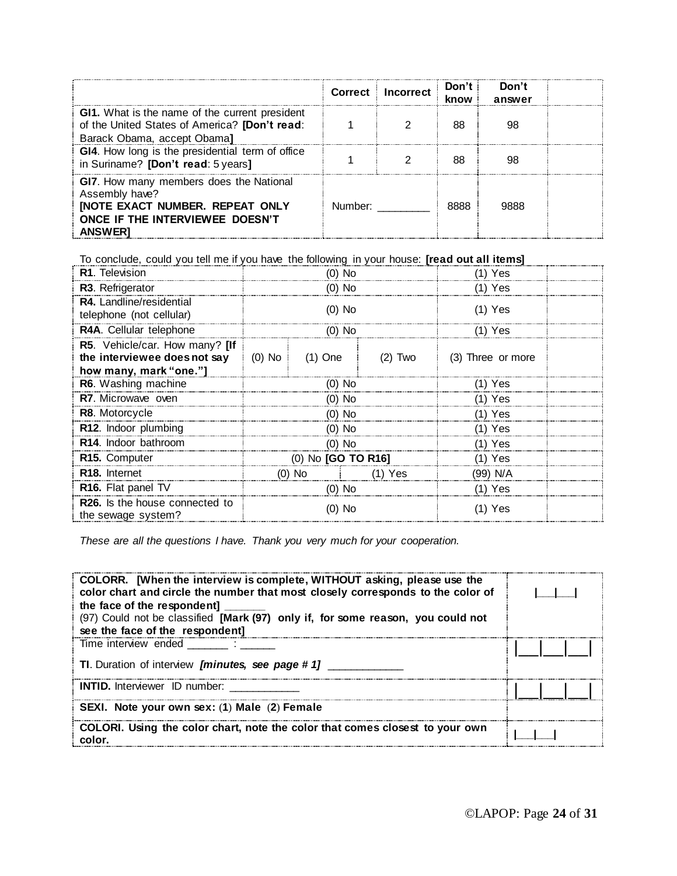|                                                                                                                                                         | <b>Correct</b> | <b>Incorrect</b> | Don't $\overline{\phantom{a}}$<br>know | Don't<br>answer |  |
|---------------------------------------------------------------------------------------------------------------------------------------------------------|----------------|------------------|----------------------------------------|-----------------|--|
| GI1. What is the name of the current president<br>of the United States of America? [Don't read:<br>Barack Obama, accept Obama]                          |                |                  | 88                                     | 98              |  |
| GI4. How long is the presidential term of office<br>in Suriname? [Don't read: 5 years]                                                                  |                |                  | 88                                     | 98              |  |
| GI7. How many members does the National<br>Assembly have?<br><b>[NOTE EXACT NUMBER. REPEAT ONLY</b><br>ONCE IF THE INTERVIEWEE DOESN'T<br><b>ANSWER</b> | Number:        |                  | 8888                                   | 9888            |  |

To conclude, could you tell me if you have the following in your house: **[read out all items]**

| R1. Television                                                                           | Ό) No              |           |           | 1) Yes            |  |
|------------------------------------------------------------------------------------------|--------------------|-----------|-----------|-------------------|--|
| R3. Refrigerator                                                                         | $(0)$ No           |           |           | (1) Yes           |  |
| R4. Landline/residential<br>telephone (not cellular)                                     | (0) No             |           |           | (1) Yes           |  |
| R4A. Cellular telephone                                                                  | $(0)$ No           |           |           | $(1)$ Yes         |  |
| R5. Vehicle/car. How many? [If<br>the interviewee does not say<br>how many, mark "one."] | $(0)$ No           | $(1)$ One | $(2)$ Two | (3) Three or more |  |
| R6. Washing machine                                                                      | $(0)$ No           |           |           | $(1)$ Yes         |  |
| R7. Microwave oven                                                                       | (0) No             |           |           | $(1)$ Yes         |  |
| <b>R8.</b> Motorcycle                                                                    | $(0)$ No           |           |           | $(1)$ Yes         |  |
| R12. Indoor plumbing                                                                     | $(0)$ No           |           |           | $(1)$ Yes         |  |
| R <sub>14</sub> . Indoor bathroom                                                        | $(0)$ No           |           |           | $(1)$ Yes         |  |
| R15. Computer                                                                            | (0) No [GO TO R16] |           |           | $(1)$ Yes         |  |
| R <sub>18</sub> . Internet                                                               |                    | $(0)$ No  | $(1)$ Yes | (99) N/A          |  |
| R16. Flat panel TV                                                                       | $(0)$ No           |           |           | $(1)$ Yes         |  |
| <b>R26.</b> Is the house connected to<br>the sewage system?                              | (0) No             |           |           | (1) Yes           |  |

*These are all the questions I have. Thank you very much for your cooperation.* 

| COLORR. [When the interview is complete, WITHOUT asking, please use the<br>color chart and circle the number that most closely corresponds to the color of<br>the face of the respondent]<br>(97) Could not be classified [Mark (97) only if, for some reason, you could not<br>see the face of the respondent] |  |
|-----------------------------------------------------------------------------------------------------------------------------------------------------------------------------------------------------------------------------------------------------------------------------------------------------------------|--|
| Time interview ended<br>TI. Duration of interview [minutes, see page #1]                                                                                                                                                                                                                                        |  |
| <b>INTID.</b> Interviewer ID number:                                                                                                                                                                                                                                                                            |  |
| SEXI. Note your own sex: (1) Male (2) Female                                                                                                                                                                                                                                                                    |  |
| COLORI. Using the color chart, note the color that comes closest to your own<br>color                                                                                                                                                                                                                           |  |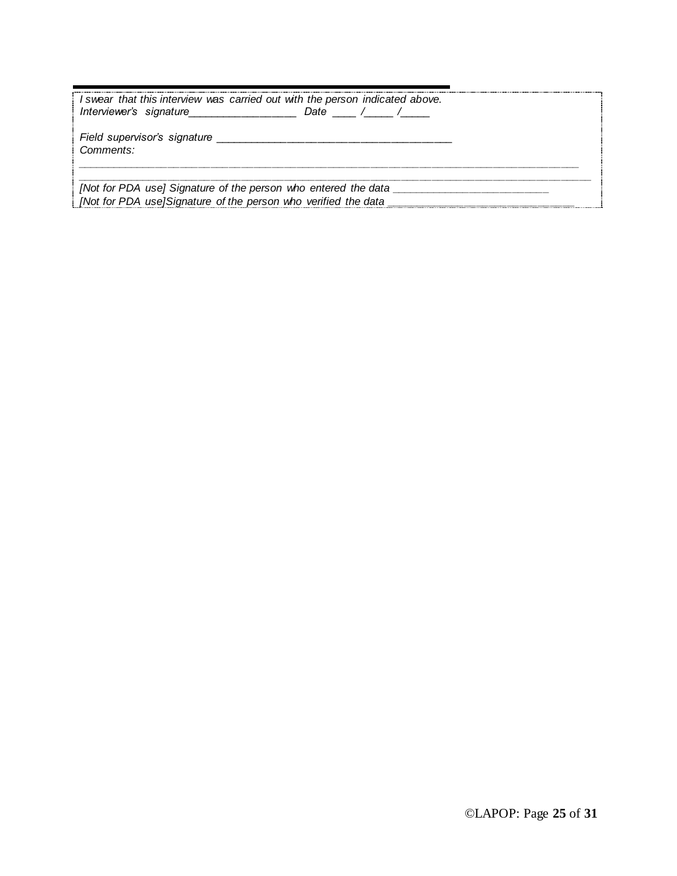| I swear that this interview was carried out with the person indicated above.<br>Interviewer's signature | Date $/$ $/$ $/$ |
|---------------------------------------------------------------------------------------------------------|------------------|
| Field supervisor's signature<br>Comments:                                                               |                  |
| [Not for PDA use] Signature of the person who entered the data                                          |                  |
| [Not for PDA use]Signature of the person who verified the data                                          |                  |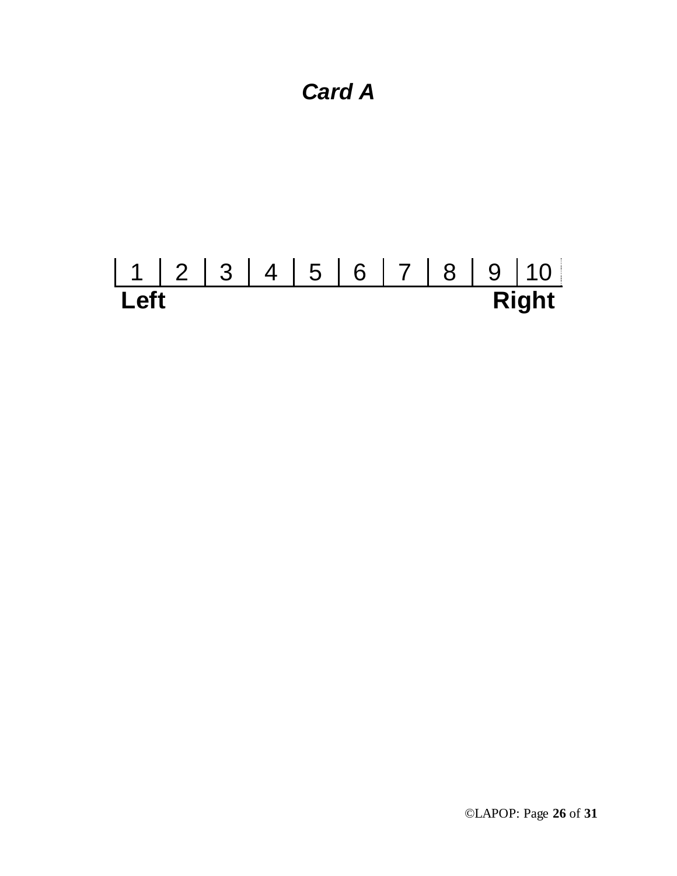### *Card A*

# 1 2 3 4 5 6 7 8 9 10 **Left Right**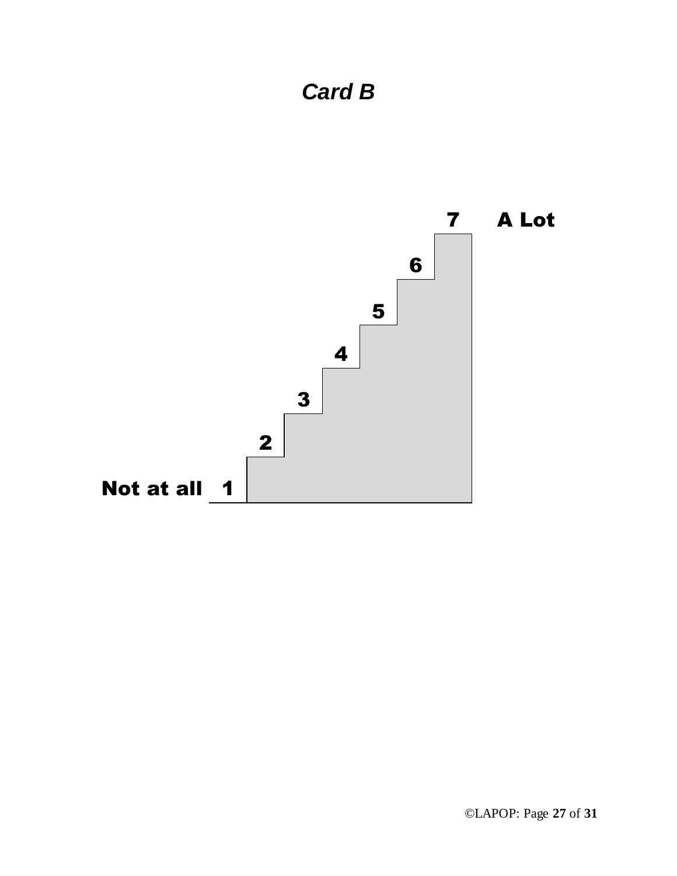

## *Card B*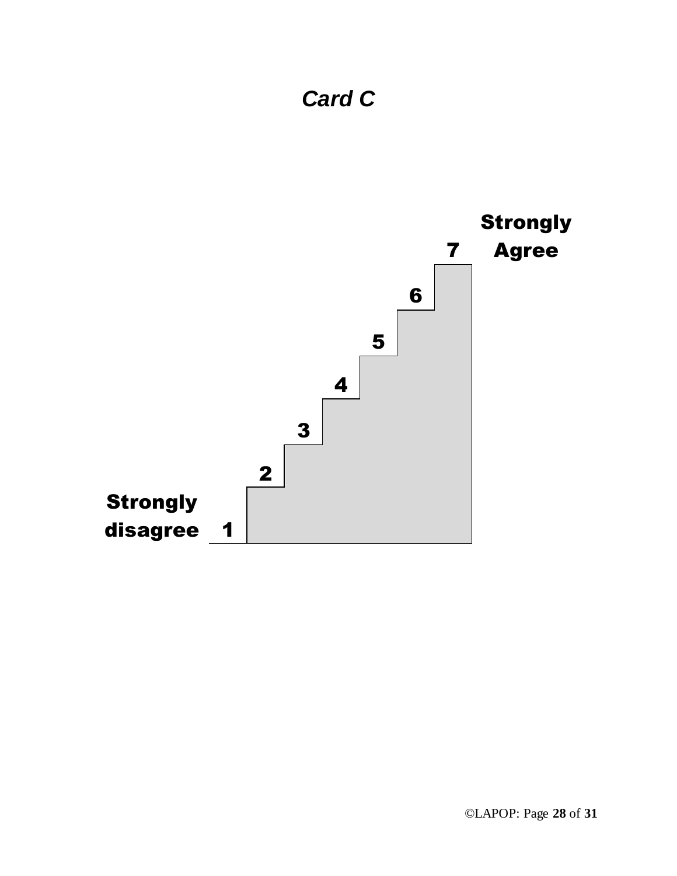

## *Card C*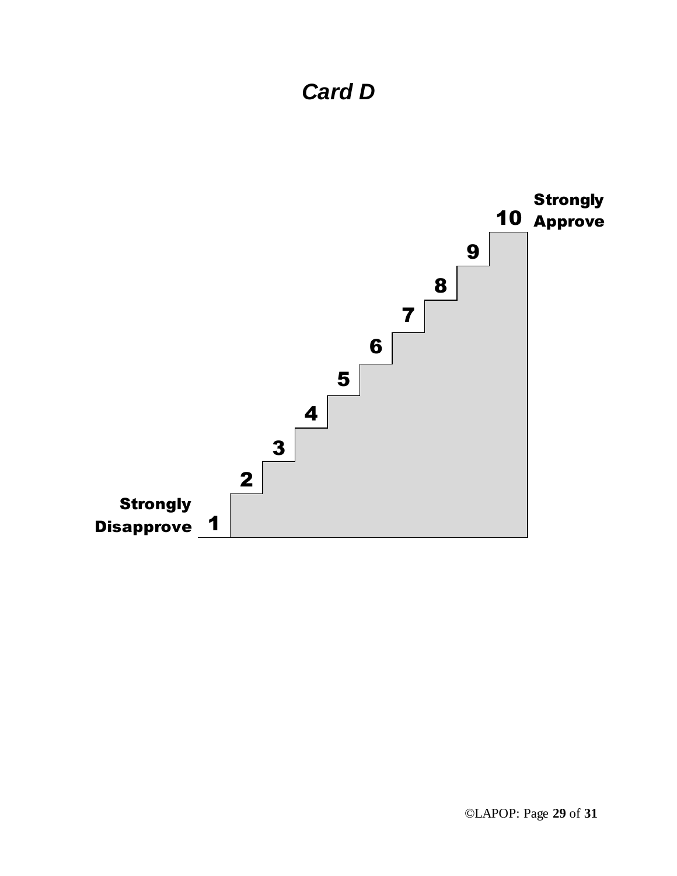## *Card D*

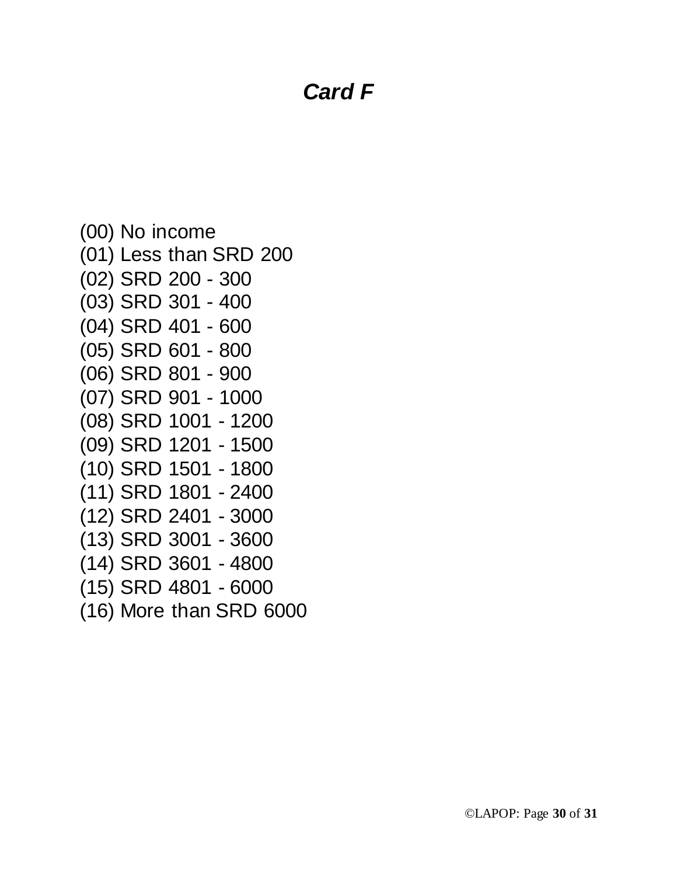### *Card F*

```
(00) No income
(01) Less than SRD 200
(02) SRD 200 - 300
(03) SRD 301 - 400
(04) SRD 401 - 600
(05) SRD 601 - 800
(06) SRD 801 - 900
(07) SRD 901 - 1000
(08) SRD 1001 - 1200
(09) SRD 1201 - 1500
(10) SRD 1501 - 1800
(11) SRD 1801 - 2400
(12) SRD 2401 - 3000
(13) SRD 3001 - 3600
(14) SRD 3601 - 4800
(15) SRD 4801 - 6000
(16) More than SRD 6000
```